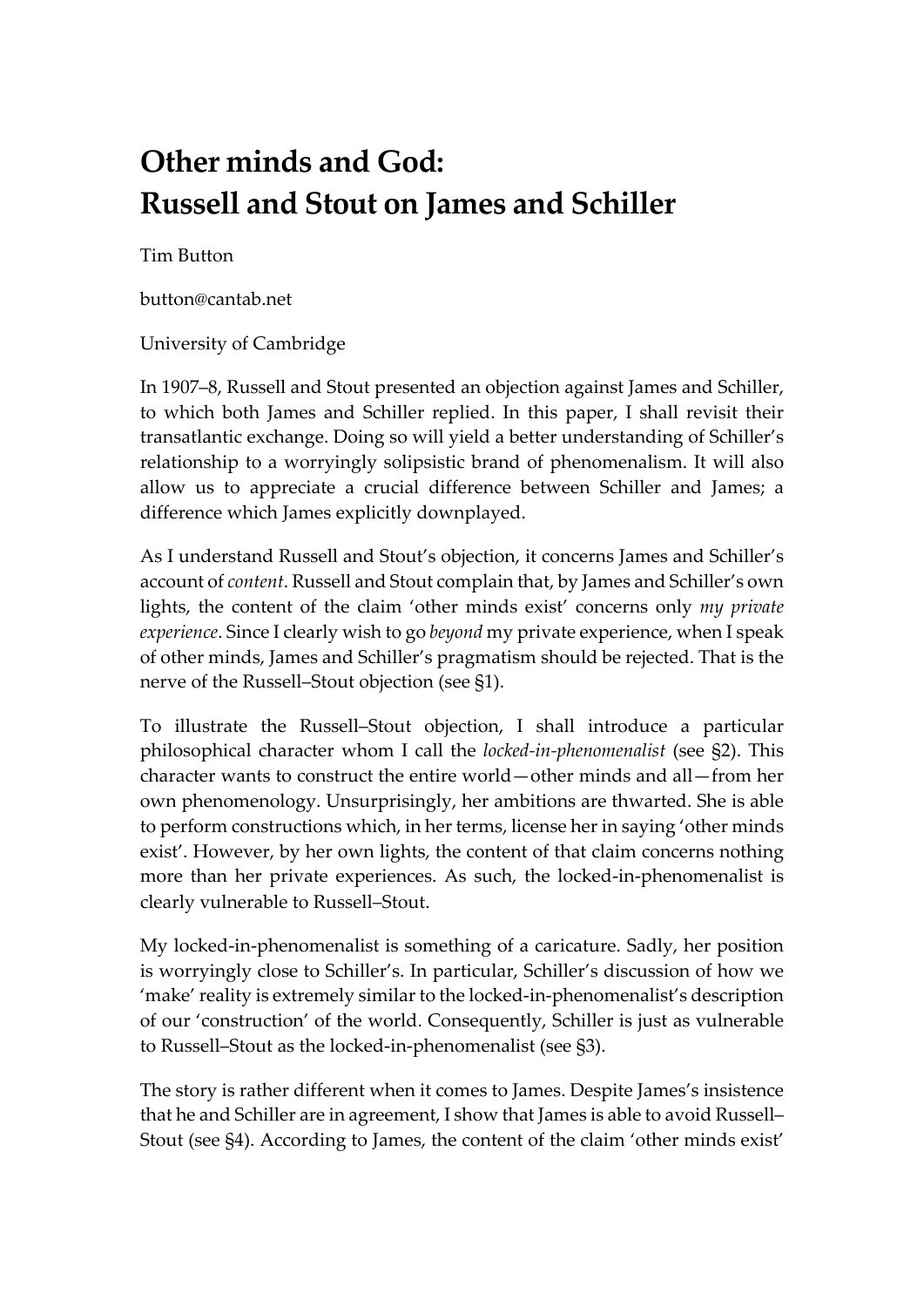# **Other minds and God: Russell and Stout on James and Schiller**

Tim Button

button@cantab.net

University of Cambridge

In 1907–8, Russell and Stout presented an objection against James and Schiller, to which both James and Schiller replied. In this paper, I shall revisit their transatlantic exchange. Doing so will yield a better understanding of Schiller's relationship to a worryingly solipsistic brand of phenomenalism. It will also allow us to appreciate a crucial difference between Schiller and James; a difference which James explicitly downplayed.

As I understand Russell and Stout's objection, it concerns James and Schiller's account of *content*. Russell and Stout complain that, by James and Schiller's own lights, the content of the claim 'other minds exist' concerns only *my private experience*. Since I clearly wish to go *beyond* my private experience, when I speak of other minds, James and Schiller's pragmatism should be rejected. That is the nerve of the Russell–Stout objection (see §1).

To illustrate the Russell–Stout objection, I shall introduce a particular philosophical character whom I call the *locked-in-phenomenalist* (see §2). This character wants to construct the entire world—other minds and all—from her own phenomenology. Unsurprisingly, her ambitions are thwarted. She is able to perform constructions which, in her terms, license her in saying 'other minds exist'. However, by her own lights, the content of that claim concerns nothing more than her private experiences. As such, the locked-in-phenomenalist is clearly vulnerable to Russell–Stout.

My locked-in-phenomenalist is something of a caricature. Sadly, her position is worryingly close to Schiller's. In particular, Schiller's discussion of how we 'make' reality is extremely similar to the locked-in-phenomenalist's description of our 'construction' of the world. Consequently, Schiller is just as vulnerable to Russell–Stout as the locked-in-phenomenalist (see §3).

The story is rather different when it comes to James. Despite James's insistence that he and Schiller are in agreement, I show that James is able to avoid Russell– Stout (see §4). According to James, the content of the claim 'other minds exist'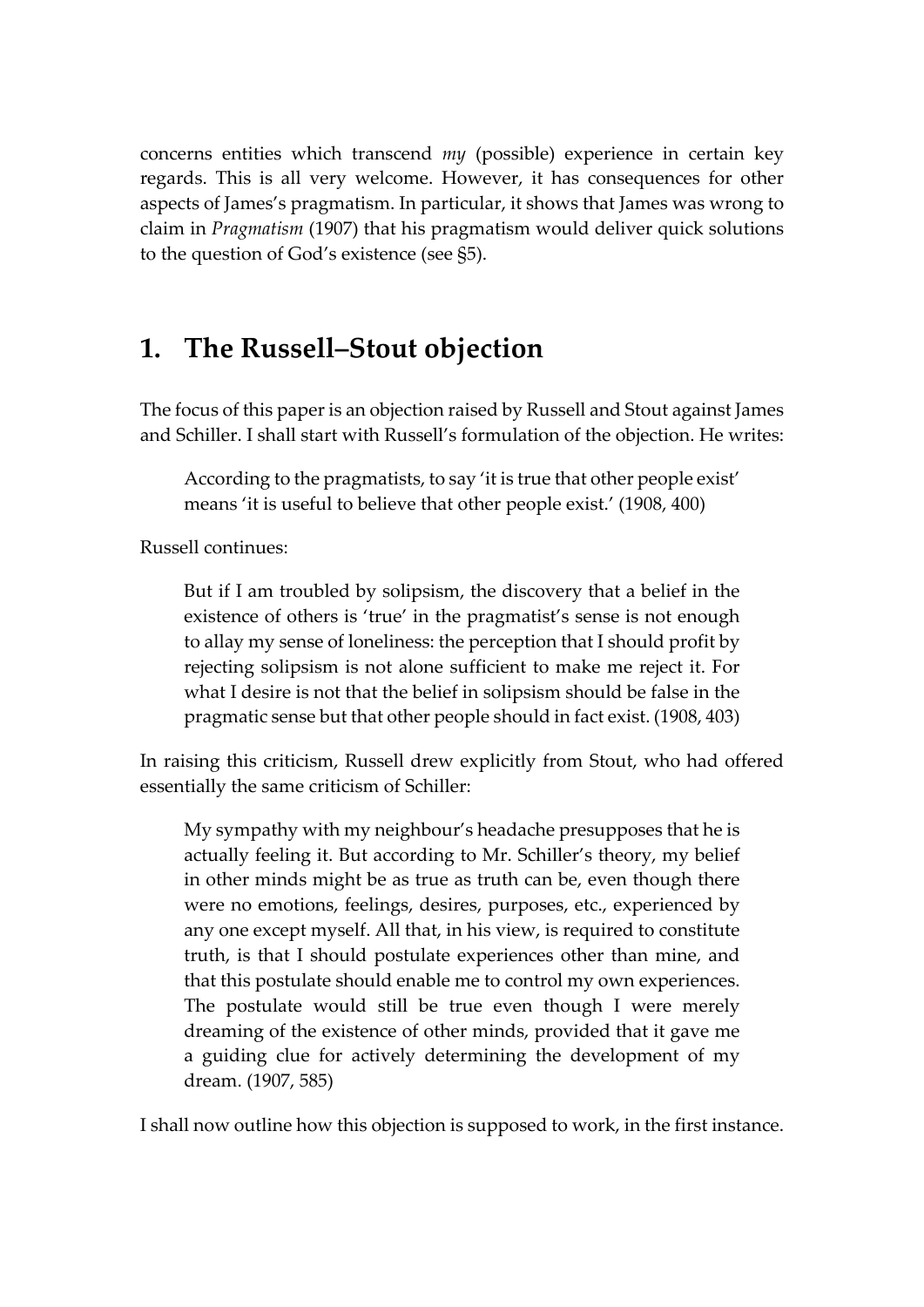concerns entities which transcend *my* (possible) experience in certain key regards. This is all very welcome. However, it has consequences for other aspects of James's pragmatism. In particular, it shows that James was wrong to claim in *Pragmatism* (1907) that his pragmatism would deliver quick solutions to the question of God's existence (see §5).

### **1. The Russell–Stout objection**

The focus of this paper is an objection raised by Russell and Stout against James and Schiller. I shall start with Russell's formulation of the objection. He writes:

According to the pragmatists, to say 'it is true that other people exist' means 'it is useful to believe that other people exist.' (1908, 400)

Russell continues:

But if I am troubled by solipsism, the discovery that a belief in the existence of others is 'true' in the pragmatist's sense is not enough to allay my sense of loneliness: the perception that I should profit by rejecting solipsism is not alone sufficient to make me reject it. For what I desire is not that the belief in solipsism should be false in the pragmatic sense but that other people should in fact exist. (1908, 403)

In raising this criticism, Russell drew explicitly from Stout, who had offered essentially the same criticism of Schiller:

My sympathy with my neighbour's headache presupposes that he is actually feeling it. But according to Mr. Schiller's theory, my belief in other minds might be as true as truth can be, even though there were no emotions, feelings, desires, purposes, etc., experienced by any one except myself. All that, in his view, is required to constitute truth, is that I should postulate experiences other than mine, and that this postulate should enable me to control my own experiences. The postulate would still be true even though I were merely dreaming of the existence of other minds, provided that it gave me a guiding clue for actively determining the development of my dream. (1907, 585)

I shall now outline how this objection is supposed to work, in the first instance.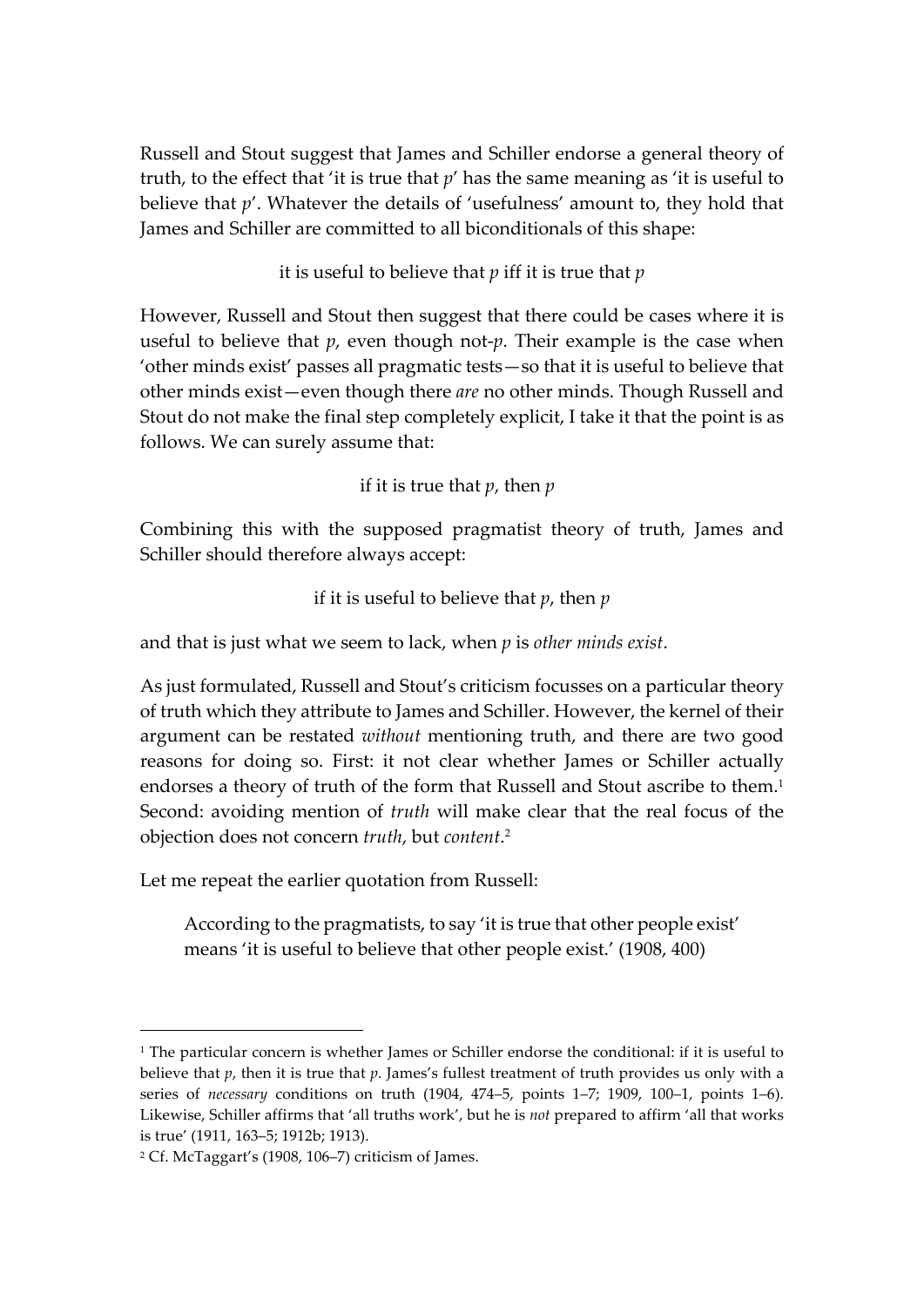Russell and Stout suggest that James and Schiller endorse a general theory of truth, to the effect that 'it is true that *p*' has the same meaning as 'it is useful to believe that *p*'. Whatever the details of 'usefulness' amount to, they hold that James and Schiller are committed to all biconditionals of this shape:

it is useful to believe that *p* iff it is true that *p*

However, Russell and Stout then suggest that there could be cases where it is useful to believe that *p*, even though not-*p*. Their example is the case when 'other minds exist' passes all pragmatic tests—so that it is useful to believe that other minds exist—even though there *are* no other minds. Though Russell and Stout do not make the final step completely explicit, I take it that the point is as follows. We can surely assume that:

if it is true that *p*, then *p*

Combining this with the supposed pragmatist theory of truth, James and Schiller should therefore always accept:

if it is useful to believe that *p*, then *p*

and that is just what we seem to lack, when *p* is *other minds exist*.

As just formulated, Russell and Stout's criticism focusses on a particular theory of truth which they attribute to James and Schiller. However, the kernel of their argument can be restated *without* mentioning truth, and there are two good reasons for doing so. First: it not clear whether James or Schiller actually endorses a theory of truth of the form that Russell and Stout ascribe to them. 1 Second: avoiding mention of *truth* will make clear that the real focus of the objection does not concern *truth*, but *content*. 2

Let me repeat the earlier quotation from Russell:

According to the pragmatists, to say 'it is true that other people exist' means 'it is useful to believe that other people exist.' (1908, 400)

 <sup>1</sup> The particular concern is whether James or Schiller endorse the conditional: if it is useful to believe that *p*, then it is true that *p*. James's fullest treatment of truth provides us only with a series of *necessary* conditions on truth (1904, 474–5, points 1–7; 1909, 100–1, points 1–6). Likewise, Schiller affirms that 'all truths work', but he is *not* prepared to affirm 'all that works is true' (1911, 163–5; 1912b; 1913).

<sup>2</sup> Cf. McTaggart's (1908, 106–7) criticism of James.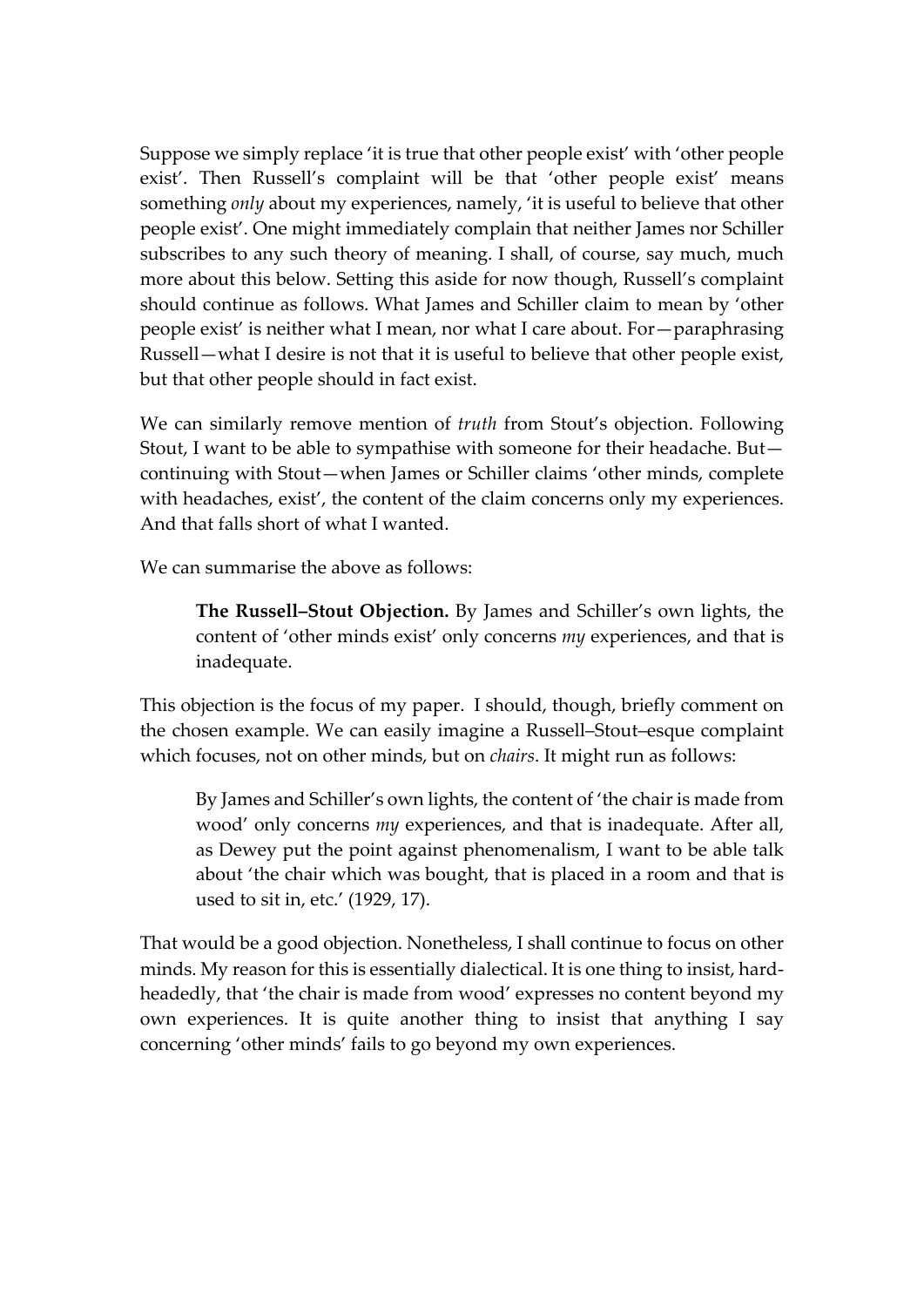Suppose we simply replace 'it is true that other people exist' with 'other people exist'. Then Russell's complaint will be that 'other people exist' means something *only* about my experiences, namely, 'it is useful to believe that other people exist'. One might immediately complain that neither James nor Schiller subscribes to any such theory of meaning. I shall, of course, say much, much more about this below. Setting this aside for now though, Russell's complaint should continue as follows. What James and Schiller claim to mean by 'other people exist' is neither what I mean, nor what I care about. For—paraphrasing Russell—what I desire is not that it is useful to believe that other people exist, but that other people should in fact exist.

We can similarly remove mention of *truth* from Stout's objection. Following Stout, I want to be able to sympathise with someone for their headache. But continuing with Stout—when James or Schiller claims 'other minds, complete with headaches, exist', the content of the claim concerns only my experiences. And that falls short of what I wanted.

We can summarise the above as follows:

**The Russell–Stout Objection.** By James and Schiller's own lights, the content of 'other minds exist' only concerns *my* experiences, and that is inadequate.

This objection is the focus of my paper. I should, though, briefly comment on the chosen example. We can easily imagine a Russell–Stout–esque complaint which focuses, not on other minds, but on *chairs*. It might run as follows:

By James and Schiller's own lights, the content of 'the chair is made from wood' only concerns *my* experiences, and that is inadequate. After all, as Dewey put the point against phenomenalism, I want to be able talk about 'the chair which was bought, that is placed in a room and that is used to sit in, etc.' (1929, 17).

That would be a good objection. Nonetheless, I shall continue to focus on other minds. My reason for this is essentially dialectical. It is one thing to insist, hardheadedly, that 'the chair is made from wood' expresses no content beyond my own experiences. It is quite another thing to insist that anything I say concerning 'other minds' fails to go beyond my own experiences.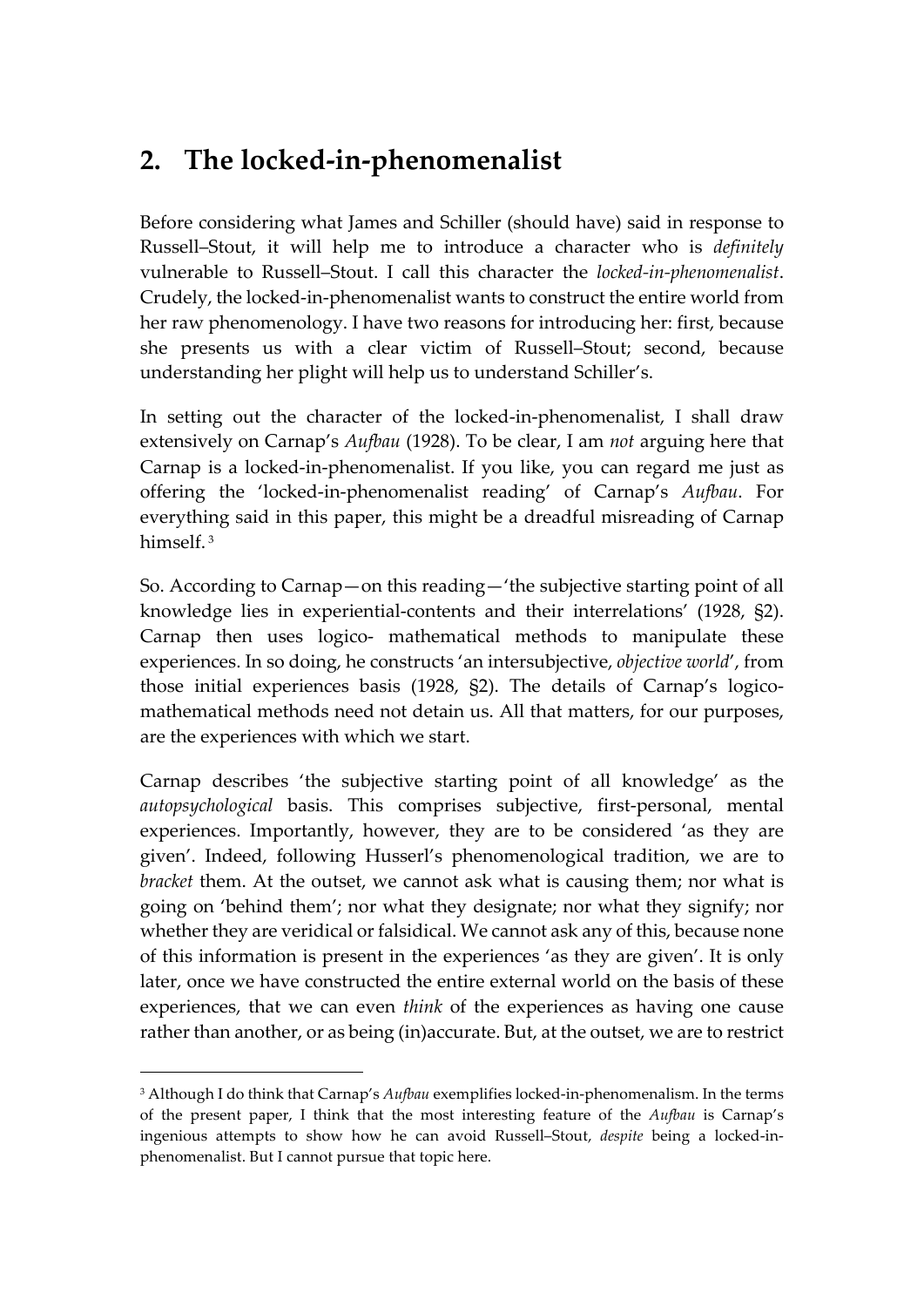## **2. The locked-in-phenomenalist**

Before considering what James and Schiller (should have) said in response to Russell–Stout, it will help me to introduce a character who is *definitely* vulnerable to Russell–Stout. I call this character the *locked-in-phenomenalist*. Crudely, the locked-in-phenomenalist wants to construct the entire world from her raw phenomenology. I have two reasons for introducing her: first, because she presents us with a clear victim of Russell–Stout; second, because understanding her plight will help us to understand Schiller's.

In setting out the character of the locked-in-phenomenalist, I shall draw extensively on Carnap's *Aufbau* (1928). To be clear, I am *not* arguing here that Carnap is a locked-in-phenomenalist. If you like, you can regard me just as offering the 'locked-in-phenomenalist reading' of Carnap's *Aufbau*. For everything said in this paper, this might be a dreadful misreading of Carnap himself. <sup>3</sup>

So. According to Carnap—on this reading—'the subjective starting point of all knowledge lies in experiential-contents and their interrelations' (1928, §2). Carnap then uses logico- mathematical methods to manipulate these experiences. In so doing, he constructs 'an intersubjective, *objective world*', from those initial experiences basis (1928, §2). The details of Carnap's logicomathematical methods need not detain us. All that matters, for our purposes, are the experiences with which we start.

Carnap describes 'the subjective starting point of all knowledge' as the *autopsychological* basis. This comprises subjective, first-personal, mental experiences. Importantly, however, they are to be considered 'as they are given'. Indeed, following Husserl's phenomenological tradition, we are to *bracket* them. At the outset, we cannot ask what is causing them; nor what is going on 'behind them'; nor what they designate; nor what they signify; nor whether they are veridical or falsidical. We cannot ask any of this, because none of this information is present in the experiences 'as they are given'. It is only later, once we have constructed the entire external world on the basis of these experiences, that we can even *think* of the experiences as having one cause rather than another, or as being (in)accurate. But, at the outset, we are to restrict

 <sup>3</sup> Although I do think that Carnap's *Aufbau* exemplifies locked-in-phenomenalism. In the terms of the present paper, I think that the most interesting feature of the *Aufbau* is Carnap's ingenious attempts to show how he can avoid Russell–Stout, *despite* being a locked-inphenomenalist. But I cannot pursue that topic here.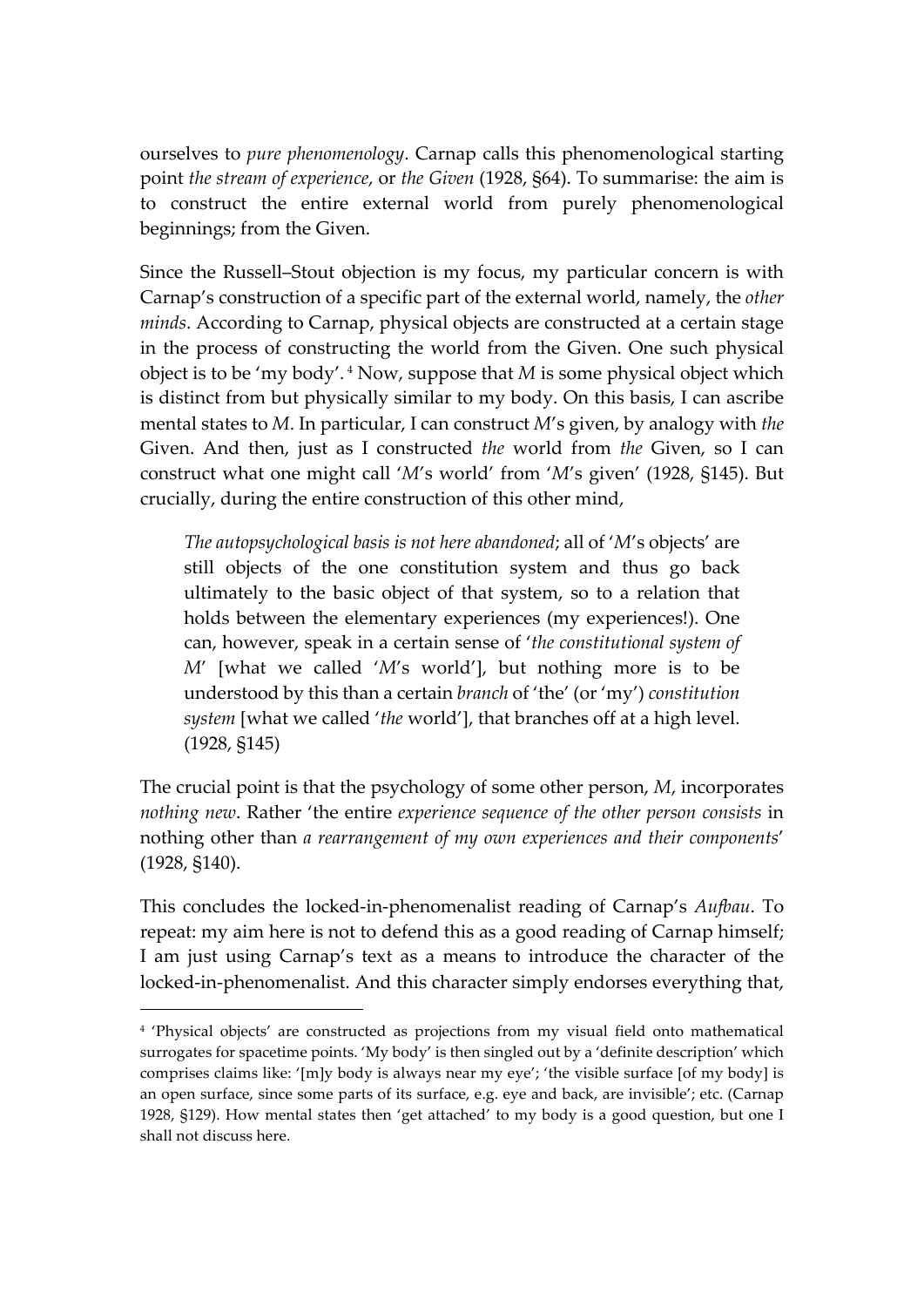ourselves to *pure phenomenology*. Carnap calls this phenomenological starting point *the stream of experience*, or *the Given* (1928, §64). To summarise: the aim is to construct the entire external world from purely phenomenological beginnings; from the Given.

Since the Russell–Stout objection is my focus, my particular concern is with Carnap's construction of a specific part of the external world, namely, the *other minds*. According to Carnap, physical objects are constructed at a certain stage in the process of constructing the world from the Given. One such physical object is to be 'my body'. <sup>4</sup> Now, suppose that *M* is some physical object which is distinct from but physically similar to my body. On this basis, I can ascribe mental states to *M*. In particular, I can construct *M*'s given, by analogy with *the* Given. And then, just as I constructed *the* world from *the* Given, so I can construct what one might call '*M*'s world' from '*M*'s given' (1928, §145). But crucially, during the entire construction of this other mind,

*The autopsychological basis is not here abandoned*; all of '*M*'s objects' are still objects of the one constitution system and thus go back ultimately to the basic object of that system, so to a relation that holds between the elementary experiences (my experiences!). One can, however, speak in a certain sense of '*the constitutional system of M*' [what we called '*M*'s world'], but nothing more is to be understood by this than a certain *branch* of 'the' (or 'my') *constitution system* [what we called '*the* world'], that branches off at a high level. (1928, §145)

The crucial point is that the psychology of some other person, *M*, incorporates *nothing new*. Rather 'the entire *experience sequence of the other person consists* in nothing other than *a rearrangement of my own experiences and their components*' (1928, §140).

This concludes the locked-in-phenomenalist reading of Carnap's *Aufbau*. To repeat: my aim here is not to defend this as a good reading of Carnap himself; I am just using Carnap's text as a means to introduce the character of the locked-in-phenomenalist. And this character simply endorses everything that,

 <sup>4</sup> 'Physical objects' are constructed as projections from my visual field onto mathematical surrogates for spacetime points. 'My body' is then singled out by a 'definite description' which comprises claims like: '[m]y body is always near my eye'; 'the visible surface [of my body] is an open surface, since some parts of its surface, e.g. eye and back, are invisible'; etc. (Carnap 1928, §129). How mental states then 'get attached' to my body is a good question, but one I shall not discuss here.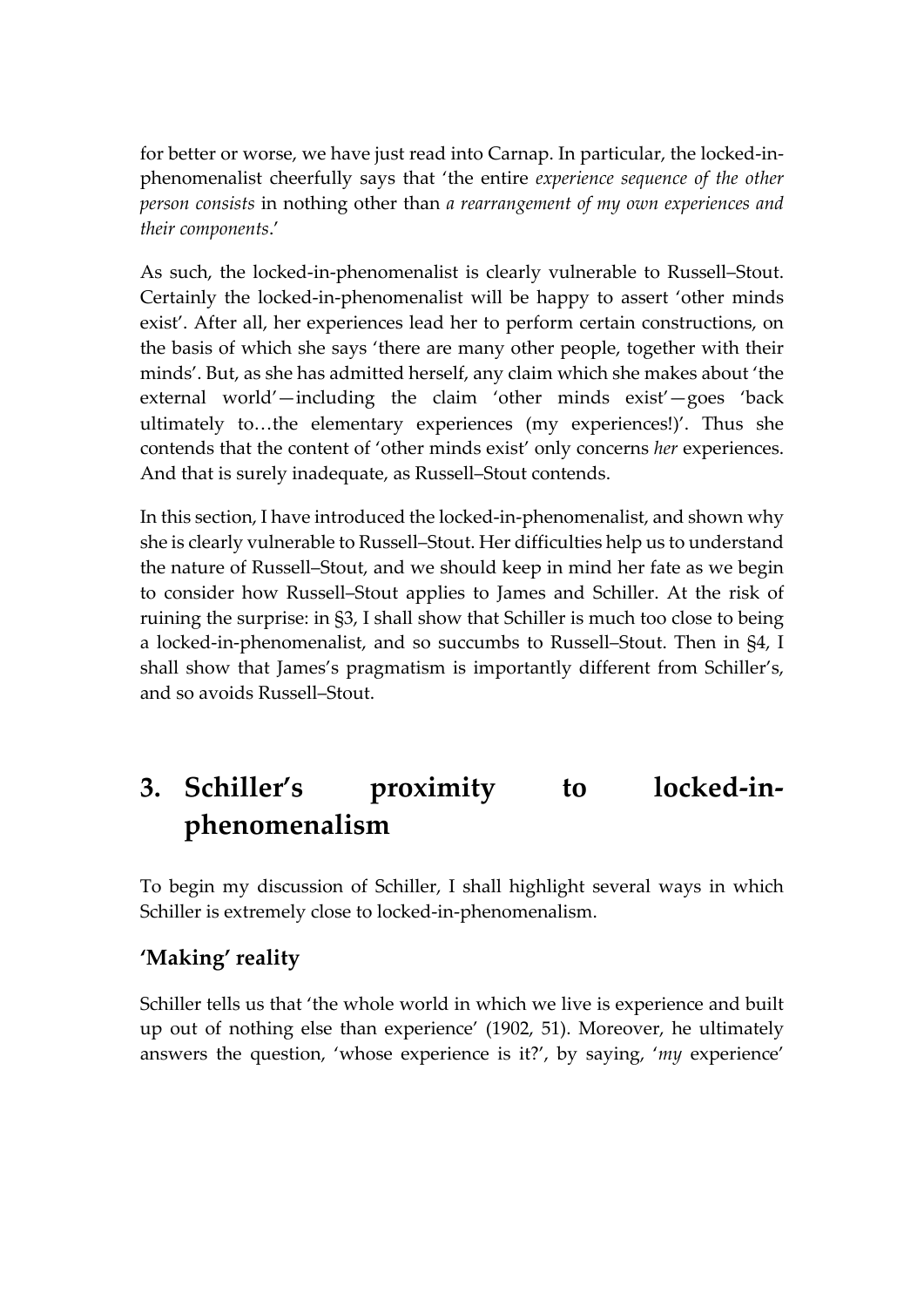for better or worse, we have just read into Carnap. In particular, the locked-inphenomenalist cheerfully says that 'the entire *experience sequence of the other person consists* in nothing other than *a rearrangement of my own experiences and their components*.'

As such, the locked-in-phenomenalist is clearly vulnerable to Russell–Stout. Certainly the locked-in-phenomenalist will be happy to assert 'other minds exist'. After all, her experiences lead her to perform certain constructions, on the basis of which she says 'there are many other people, together with their minds'. But, as she has admitted herself, any claim which she makes about 'the external world'—including the claim 'other minds exist'—goes 'back ultimately to…the elementary experiences (my experiences!)'. Thus she contends that the content of 'other minds exist' only concerns *her* experiences. And that is surely inadequate, as Russell–Stout contends.

In this section, I have introduced the locked-in-phenomenalist, and shown why she is clearly vulnerable to Russell–Stout. Her difficulties help us to understand the nature of Russell–Stout, and we should keep in mind her fate as we begin to consider how Russell–Stout applies to James and Schiller. At the risk of ruining the surprise: in §3, I shall show that Schiller is much too close to being a locked-in-phenomenalist, and so succumbs to Russell–Stout. Then in §4, I shall show that James's pragmatism is importantly different from Schiller's, and so avoids Russell–Stout.

# **3. Schiller's proximity to locked-inphenomenalism**

To begin my discussion of Schiller, I shall highlight several ways in which Schiller is extremely close to locked-in-phenomenalism.

#### **'Making' reality**

Schiller tells us that 'the whole world in which we live is experience and built up out of nothing else than experience' (1902, 51). Moreover, he ultimately answers the question, 'whose experience is it?', by saying, '*my* experience'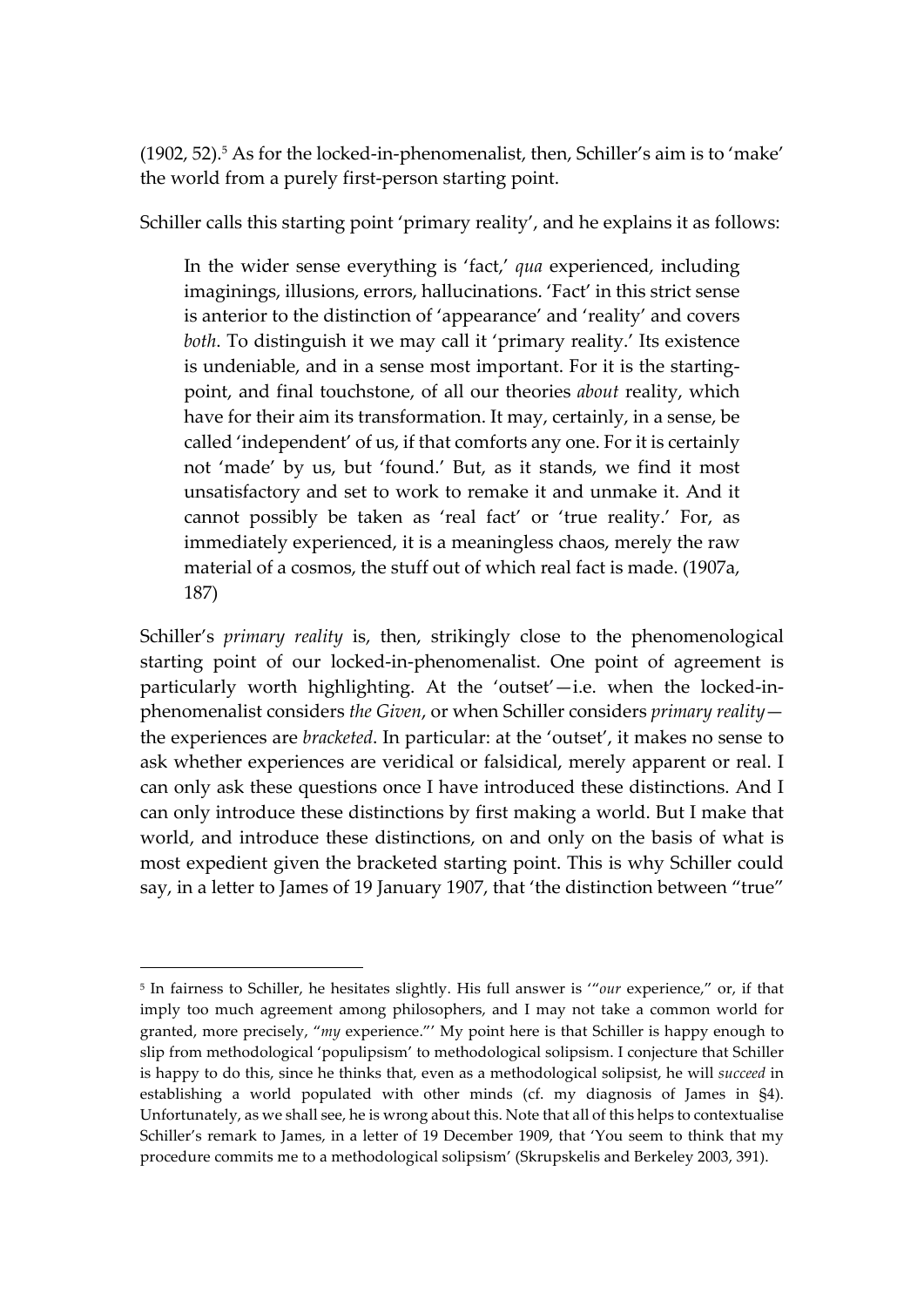$(1902, 52)$ .<sup>5</sup> As for the locked-in-phenomenalist, then, Schiller's aim is to 'make' the world from a purely first-person starting point.

Schiller calls this starting point 'primary reality', and he explains it as follows:

In the wider sense everything is 'fact,' *qua* experienced, including imaginings, illusions, errors, hallucinations. 'Fact' in this strict sense is anterior to the distinction of 'appearance' and 'reality' and covers *both*. To distinguish it we may call it 'primary reality.' Its existence is undeniable, and in a sense most important. For it is the startingpoint, and final touchstone, of all our theories *about* reality, which have for their aim its transformation. It may, certainly, in a sense, be called 'independent' of us, if that comforts any one. For it is certainly not 'made' by us, but 'found.' But, as it stands, we find it most unsatisfactory and set to work to remake it and unmake it. And it cannot possibly be taken as 'real fact' or 'true reality.' For, as immediately experienced, it is a meaningless chaos, merely the raw material of a cosmos, the stuff out of which real fact is made. (1907a, 187)

Schiller's *primary reality* is, then, strikingly close to the phenomenological starting point of our locked-in-phenomenalist. One point of agreement is particularly worth highlighting. At the 'outset'—i.e. when the locked-inphenomenalist considers *the Given*, or when Schiller considers *primary reality* the experiences are *bracketed*. In particular: at the 'outset', it makes no sense to ask whether experiences are veridical or falsidical, merely apparent or real. I can only ask these questions once I have introduced these distinctions. And I can only introduce these distinctions by first making a world. But I make that world, and introduce these distinctions, on and only on the basis of what is most expedient given the bracketed starting point. This is why Schiller could say, in a letter to James of 19 January 1907, that 'the distinction between "true"

 <sup>5</sup> In fairness to Schiller, he hesitates slightly. His full answer is '"*our* experience," or, if that imply too much agreement among philosophers, and I may not take a common world for granted, more precisely, "*my* experience."' My point here is that Schiller is happy enough to slip from methodological 'populipsism' to methodological solipsism. I conjecture that Schiller is happy to do this, since he thinks that, even as a methodological solipsist, he will *succeed* in establishing a world populated with other minds (cf. my diagnosis of James in §4). Unfortunately, as we shall see, he is wrong about this. Note that all of this helps to contextualise Schiller's remark to James, in a letter of 19 December 1909, that 'You seem to think that my procedure commits me to a methodological solipsism' (Skrupskelis and Berkeley 2003, 391).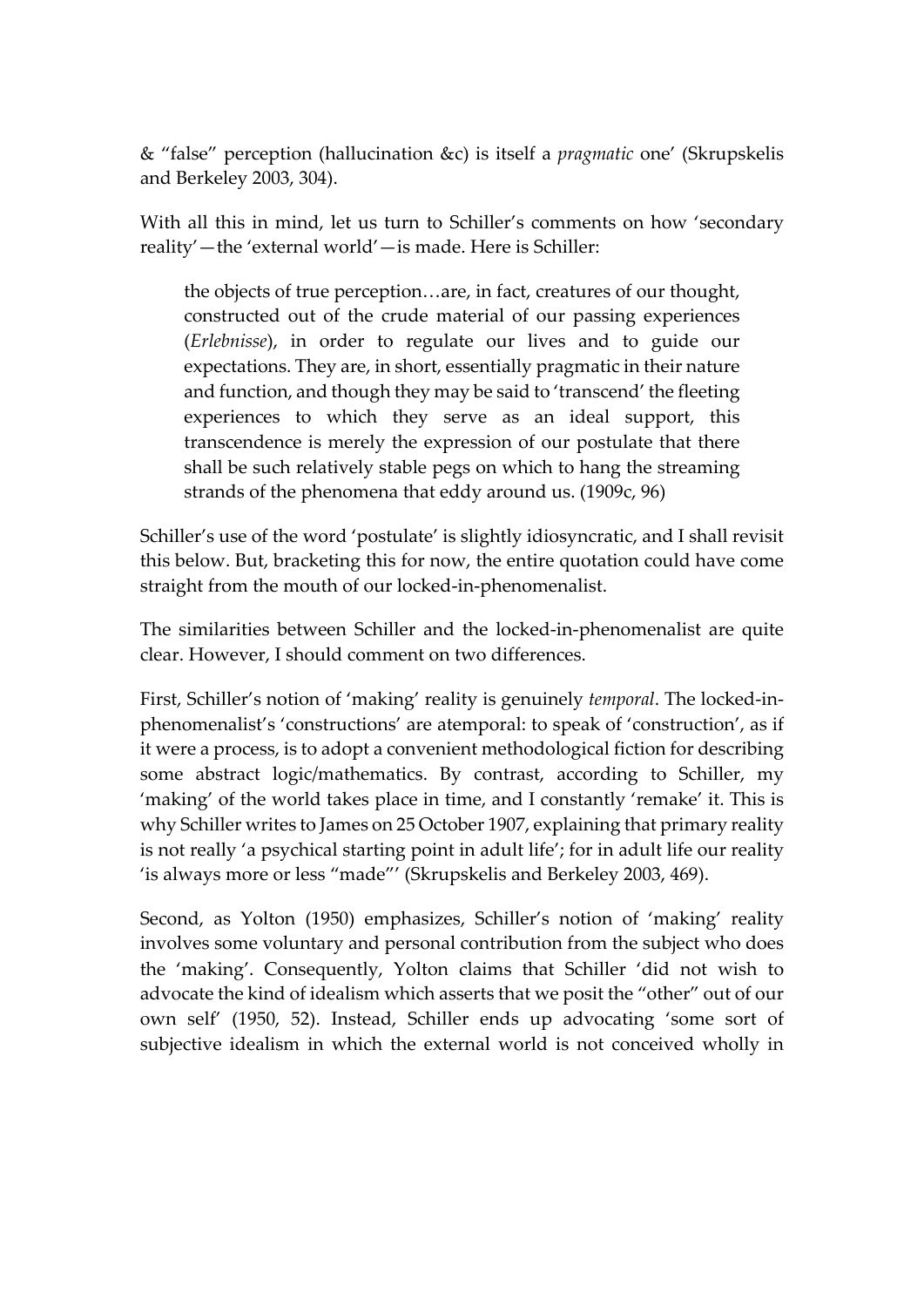& "false" perception (hallucination &c) is itself a *pragmatic* one' (Skrupskelis and Berkeley 2003, 304).

With all this in mind, let us turn to Schiller's comments on how 'secondary reality'—the 'external world'—is made. Here is Schiller:

the objects of true perception…are, in fact, creatures of our thought, constructed out of the crude material of our passing experiences (*Erlebnisse*), in order to regulate our lives and to guide our expectations. They are, in short, essentially pragmatic in their nature and function, and though they may be said to 'transcend' the fleeting experiences to which they serve as an ideal support, this transcendence is merely the expression of our postulate that there shall be such relatively stable pegs on which to hang the streaming strands of the phenomena that eddy around us. (1909c, 96)

Schiller's use of the word 'postulate' is slightly idiosyncratic, and I shall revisit this below. But, bracketing this for now, the entire quotation could have come straight from the mouth of our locked-in-phenomenalist.

The similarities between Schiller and the locked-in-phenomenalist are quite clear. However, I should comment on two differences.

First, Schiller's notion of 'making' reality is genuinely *temporal*. The locked-inphenomenalist's 'constructions' are atemporal: to speak of 'construction', as if it were a process, is to adopt a convenient methodological fiction for describing some abstract logic/mathematics. By contrast, according to Schiller, my 'making' of the world takes place in time, and I constantly 'remake' it. This is why Schiller writes to James on 25 October 1907, explaining that primary reality is not really 'a psychical starting point in adult life'; for in adult life our reality 'is always more or less "made"' (Skrupskelis and Berkeley 2003, 469).

Second, as Yolton (1950) emphasizes, Schiller's notion of 'making' reality involves some voluntary and personal contribution from the subject who does the 'making'. Consequently, Yolton claims that Schiller 'did not wish to advocate the kind of idealism which asserts that we posit the "other" out of our own self' (1950, 52). Instead, Schiller ends up advocating 'some sort of subjective idealism in which the external world is not conceived wholly in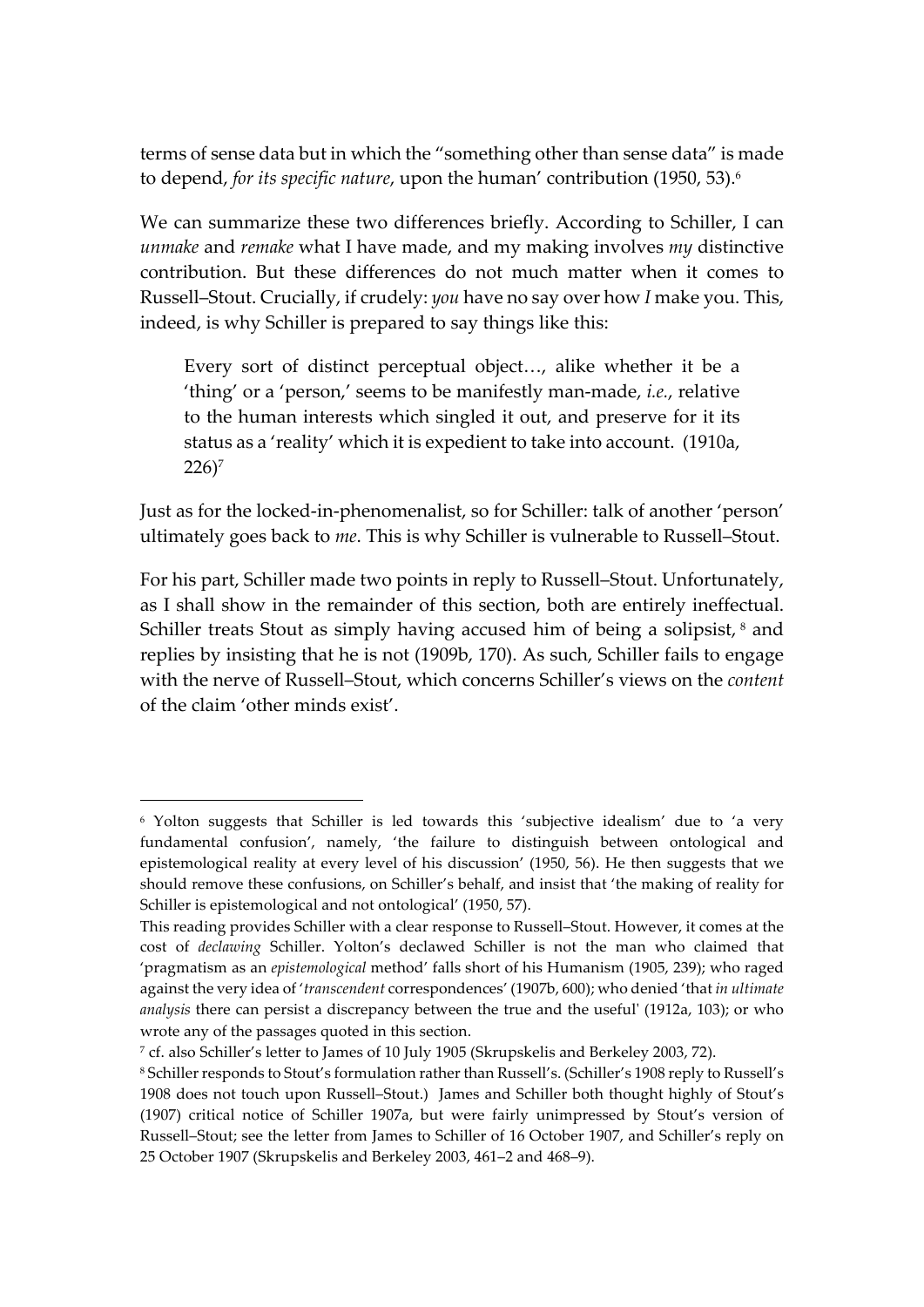terms of sense data but in which the "something other than sense data" is made to depend, *for its specific nature*, upon the human' contribution (1950, 53).6

We can summarize these two differences briefly. According to Schiller, I can *unmake* and *remake* what I have made, and my making involves *my* distinctive contribution. But these differences do not much matter when it comes to Russell–Stout. Crucially, if crudely: *you* have no say over how *I* make you. This, indeed, is why Schiller is prepared to say things like this:

Every sort of distinct perceptual object…, alike whether it be a 'thing' or a 'person,' seems to be manifestly man-made, *i.e.*, relative to the human interests which singled it out, and preserve for it its status as a 'reality' which it is expedient to take into account. (1910a,  $226$ <sup>7</sup>

Just as for the locked-in-phenomenalist, so for Schiller: talk of another 'person' ultimately goes back to *me*. This is why Schiller is vulnerable to Russell–Stout.

For his part, Schiller made two points in reply to Russell–Stout. Unfortunately, as I shall show in the remainder of this section, both are entirely ineffectual. Schiller treats Stout as simply having accused him of being a solipsist,  $8$  and replies by insisting that he is not (1909b, 170). As such, Schiller fails to engage with the nerve of Russell–Stout, which concerns Schiller's views on the *content* of the claim 'other minds exist'.

 $\overline{a}$ 

<sup>&</sup>lt;sup>6</sup> Yolton suggests that Schiller is led towards this 'subjective idealism' due to 'a very fundamental confusion', namely, 'the failure to distinguish between ontological and epistemological reality at every level of his discussion' (1950, 56). He then suggests that we should remove these confusions, on Schiller's behalf, and insist that 'the making of reality for Schiller is epistemological and not ontological' (1950, 57).

This reading provides Schiller with a clear response to Russell–Stout. However, it comes at the cost of *declawing* Schiller. Yolton's declawed Schiller is not the man who claimed that 'pragmatism as an *epistemological* method' falls short of his Humanism (1905, 239); who raged against the very idea of '*transcendent* correspondences' (1907b, 600); who denied 'that *in ultimate analysis* there can persist a discrepancy between the true and the useful' (1912a, 103); or who wrote any of the passages quoted in this section.

<sup>7</sup> cf. also Schiller's letter to James of 10 July 1905 (Skrupskelis and Berkeley 2003, 72).

<sup>8</sup> Schiller responds to Stout's formulation rather than Russell's. (Schiller's 1908 reply to Russell's 1908 does not touch upon Russell–Stout.) James and Schiller both thought highly of Stout's (1907) critical notice of Schiller 1907a, but were fairly unimpressed by Stout's version of Russell–Stout; see the letter from James to Schiller of 16 October 1907, and Schiller's reply on 25 October 1907 (Skrupskelis and Berkeley 2003, 461–2 and 468–9).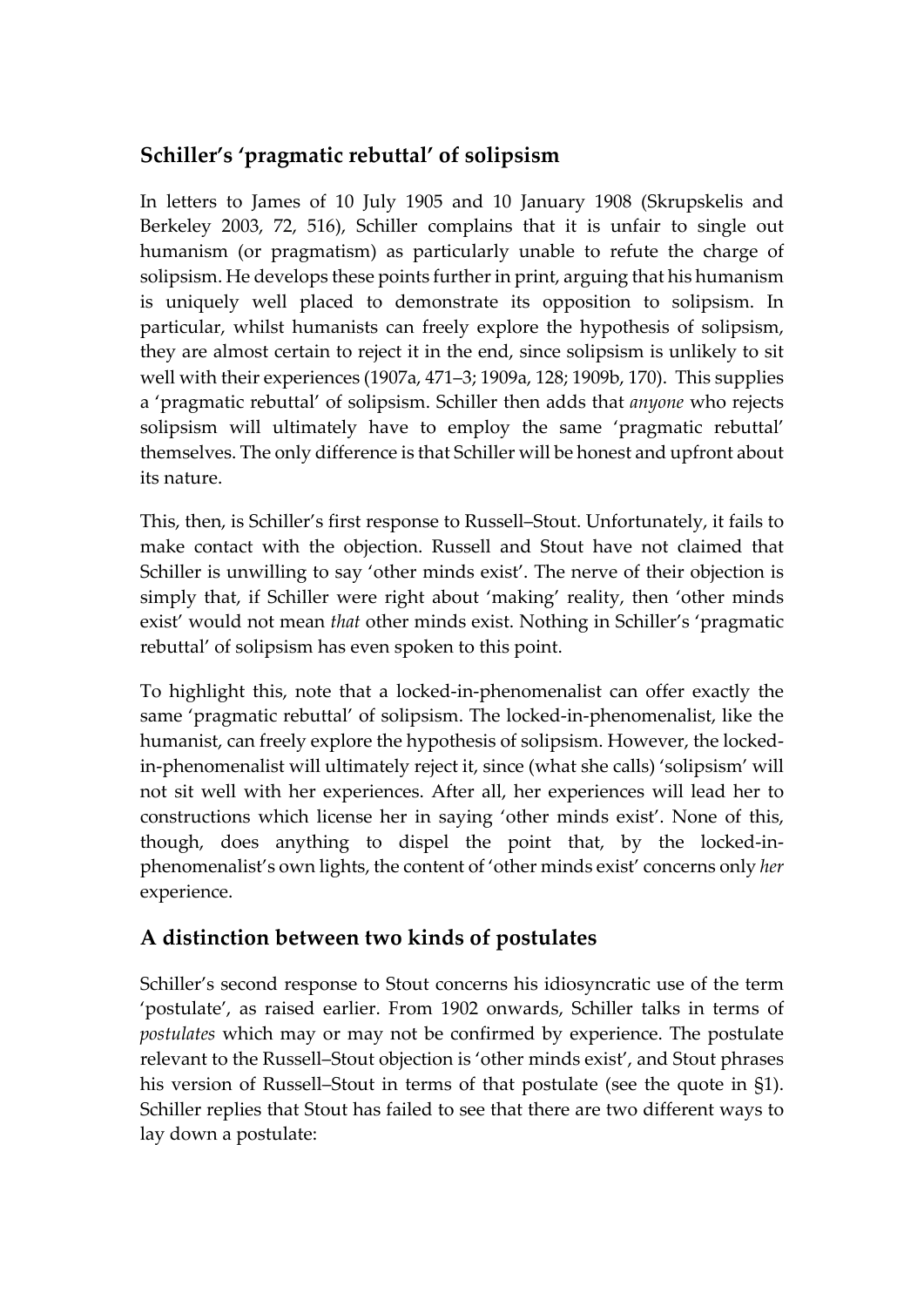#### **Schiller's 'pragmatic rebuttal' of solipsism**

In letters to James of 10 July 1905 and 10 January 1908 (Skrupskelis and Berkeley 2003, 72, 516), Schiller complains that it is unfair to single out humanism (or pragmatism) as particularly unable to refute the charge of solipsism. He develops these points further in print, arguing that his humanism is uniquely well placed to demonstrate its opposition to solipsism. In particular, whilst humanists can freely explore the hypothesis of solipsism, they are almost certain to reject it in the end, since solipsism is unlikely to sit well with their experiences (1907a, 471–3; 1909a, 128; 1909b, 170). This supplies a 'pragmatic rebuttal' of solipsism. Schiller then adds that *anyone* who rejects solipsism will ultimately have to employ the same 'pragmatic rebuttal' themselves. The only difference is that Schiller will be honest and upfront about its nature.

This, then, is Schiller's first response to Russell–Stout. Unfortunately, it fails to make contact with the objection. Russell and Stout have not claimed that Schiller is unwilling to say 'other minds exist'. The nerve of their objection is simply that, if Schiller were right about 'making' reality, then 'other minds exist' would not mean *that* other minds exist. Nothing in Schiller's 'pragmatic rebuttal' of solipsism has even spoken to this point.

To highlight this, note that a locked-in-phenomenalist can offer exactly the same 'pragmatic rebuttal' of solipsism. The locked-in-phenomenalist, like the humanist, can freely explore the hypothesis of solipsism. However, the lockedin-phenomenalist will ultimately reject it, since (what she calls) 'solipsism' will not sit well with her experiences. After all, her experiences will lead her to constructions which license her in saying 'other minds exist'. None of this, though, does anything to dispel the point that, by the locked-inphenomenalist's own lights, the content of 'other minds exist' concerns only *her* experience.

#### **A distinction between two kinds of postulates**

Schiller's second response to Stout concerns his idiosyncratic use of the term 'postulate', as raised earlier. From 1902 onwards, Schiller talks in terms of *postulates* which may or may not be confirmed by experience. The postulate relevant to the Russell–Stout objection is 'other minds exist', and Stout phrases his version of Russell–Stout in terms of that postulate (see the quote in §1). Schiller replies that Stout has failed to see that there are two different ways to lay down a postulate: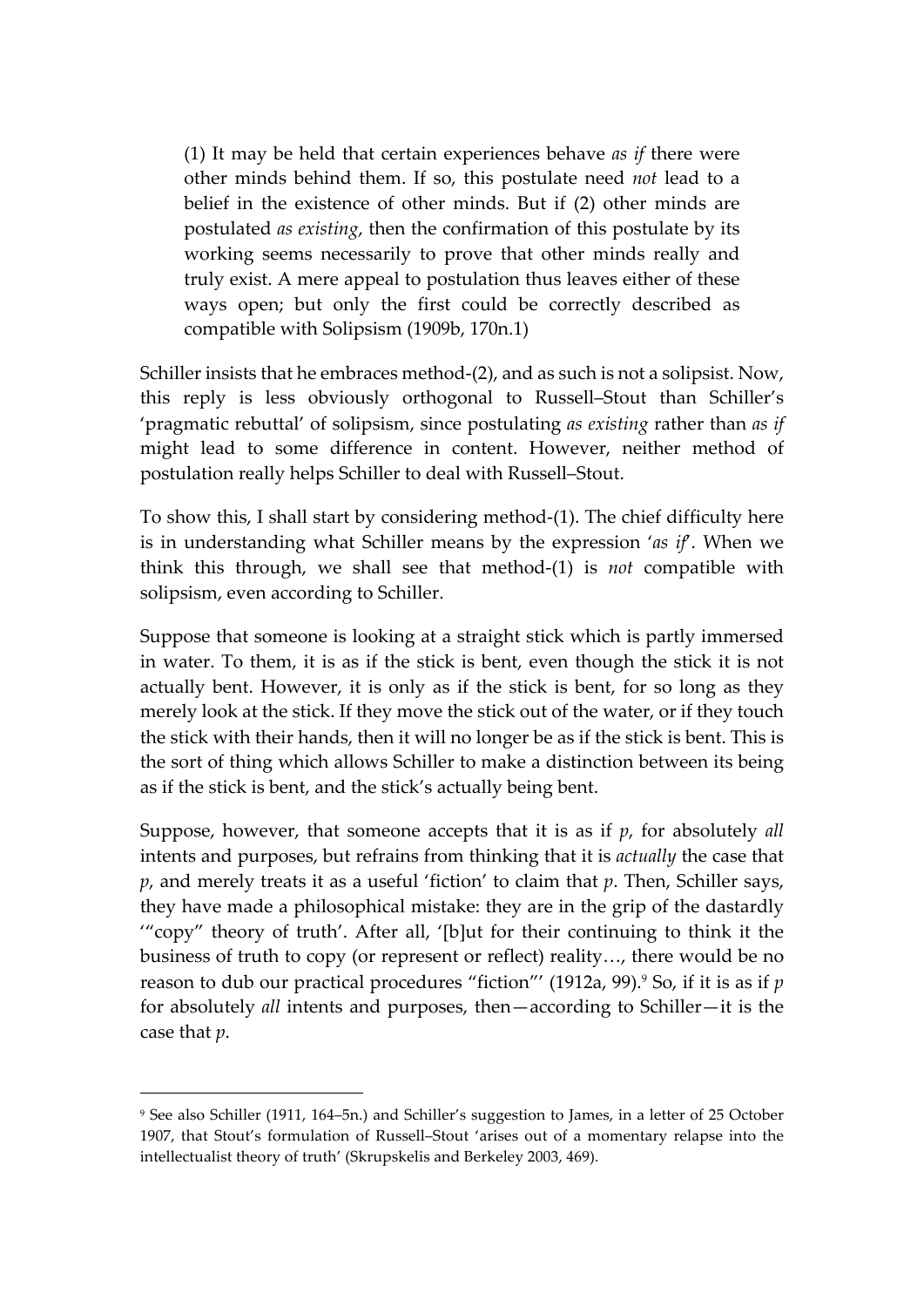(1) It may be held that certain experiences behave *as if* there were other minds behind them. If so, this postulate need *not* lead to a belief in the existence of other minds. But if (2) other minds are postulated *as existing*, then the confirmation of this postulate by its working seems necessarily to prove that other minds really and truly exist. A mere appeal to postulation thus leaves either of these ways open; but only the first could be correctly described as compatible with Solipsism (1909b, 170n.1)

Schiller insists that he embraces method-(2), and as such is not a solipsist. Now, this reply is less obviously orthogonal to Russell–Stout than Schiller's 'pragmatic rebuttal' of solipsism, since postulating *as existing* rather than *as if* might lead to some difference in content. However, neither method of postulation really helps Schiller to deal with Russell–Stout.

To show this, I shall start by considering method-(1). The chief difficulty here is in understanding what Schiller means by the expression '*as if*'. When we think this through, we shall see that method-(1) is *not* compatible with solipsism, even according to Schiller.

Suppose that someone is looking at a straight stick which is partly immersed in water. To them, it is as if the stick is bent, even though the stick it is not actually bent. However, it is only as if the stick is bent, for so long as they merely look at the stick. If they move the stick out of the water, or if they touch the stick with their hands, then it will no longer be as if the stick is bent. This is the sort of thing which allows Schiller to make a distinction between its being as if the stick is bent, and the stick's actually being bent.

Suppose, however, that someone accepts that it is as if *p*, for absolutely *all* intents and purposes, but refrains from thinking that it is *actually* the case that *p*, and merely treats it as a useful 'fiction' to claim that *p*. Then, Schiller says, they have made a philosophical mistake: they are in the grip of the dastardly '"copy" theory of truth'. After all, '[b]ut for their continuing to think it the business of truth to copy (or represent or reflect) reality…, there would be no reason to dub our practical procedures "fiction"' (1912a, 99).9 So, if it is as if *p* for absolutely *all* intents and purposes, then—according to Schiller—it is the case that *p*.

 $\overline{a}$ 

<sup>9</sup> See also Schiller (1911, 164–5n.) and Schiller's suggestion to James, in a letter of 25 October 1907, that Stout's formulation of Russell–Stout 'arises out of a momentary relapse into the intellectualist theory of truth' (Skrupskelis and Berkeley 2003, 469).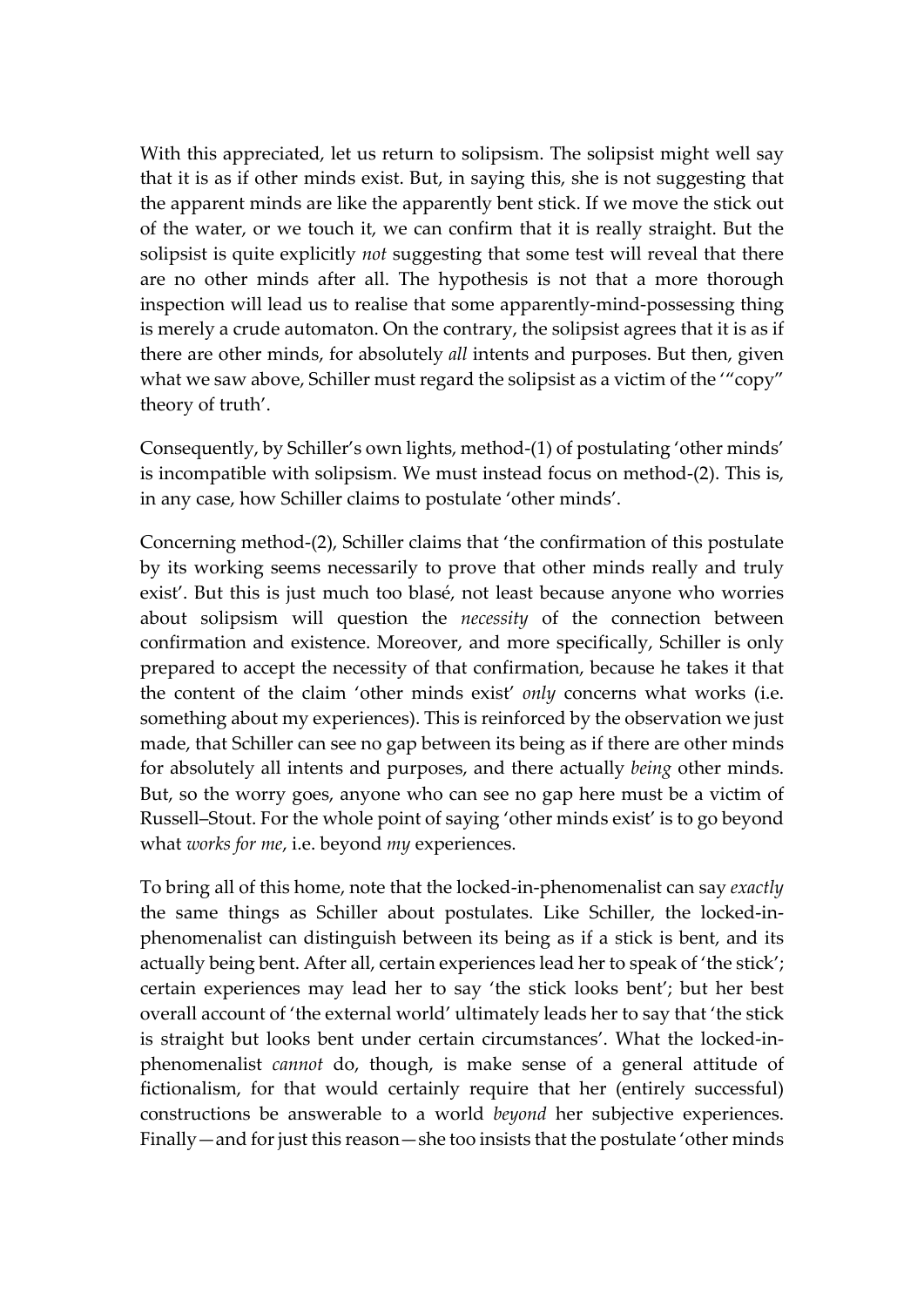With this appreciated, let us return to solipsism. The solipsist might well say that it is as if other minds exist. But, in saying this, she is not suggesting that the apparent minds are like the apparently bent stick. If we move the stick out of the water, or we touch it, we can confirm that it is really straight. But the solipsist is quite explicitly *not* suggesting that some test will reveal that there are no other minds after all. The hypothesis is not that a more thorough inspection will lead us to realise that some apparently-mind-possessing thing is merely a crude automaton. On the contrary, the solipsist agrees that it is as if there are other minds, for absolutely *all* intents and purposes. But then, given what we saw above, Schiller must regard the solipsist as a victim of the "copy" theory of truth'.

Consequently, by Schiller's own lights, method-(1) of postulating 'other minds' is incompatible with solipsism. We must instead focus on method-(2). This is, in any case, how Schiller claims to postulate 'other minds'.

Concerning method-(2), Schiller claims that 'the confirmation of this postulate by its working seems necessarily to prove that other minds really and truly exist'. But this is just much too blasé, not least because anyone who worries about solipsism will question the *necessity* of the connection between confirmation and existence. Moreover, and more specifically, Schiller is only prepared to accept the necessity of that confirmation, because he takes it that the content of the claim 'other minds exist' *only* concerns what works (i.e. something about my experiences). This is reinforced by the observation we just made, that Schiller can see no gap between its being as if there are other minds for absolutely all intents and purposes, and there actually *being* other minds. But, so the worry goes, anyone who can see no gap here must be a victim of Russell–Stout. For the whole point of saying 'other minds exist' is to go beyond what *works for me*, i.e. beyond *my* experiences.

To bring all of this home, note that the locked-in-phenomenalist can say *exactly* the same things as Schiller about postulates. Like Schiller, the locked-inphenomenalist can distinguish between its being as if a stick is bent, and its actually being bent. After all, certain experiences lead her to speak of 'the stick'; certain experiences may lead her to say 'the stick looks bent'; but her best overall account of 'the external world' ultimately leads her to say that 'the stick is straight but looks bent under certain circumstances'. What the locked-inphenomenalist *cannot* do, though, is make sense of a general attitude of fictionalism, for that would certainly require that her (entirely successful) constructions be answerable to a world *beyond* her subjective experiences. Finally—and for just this reason—she too insists that the postulate 'other minds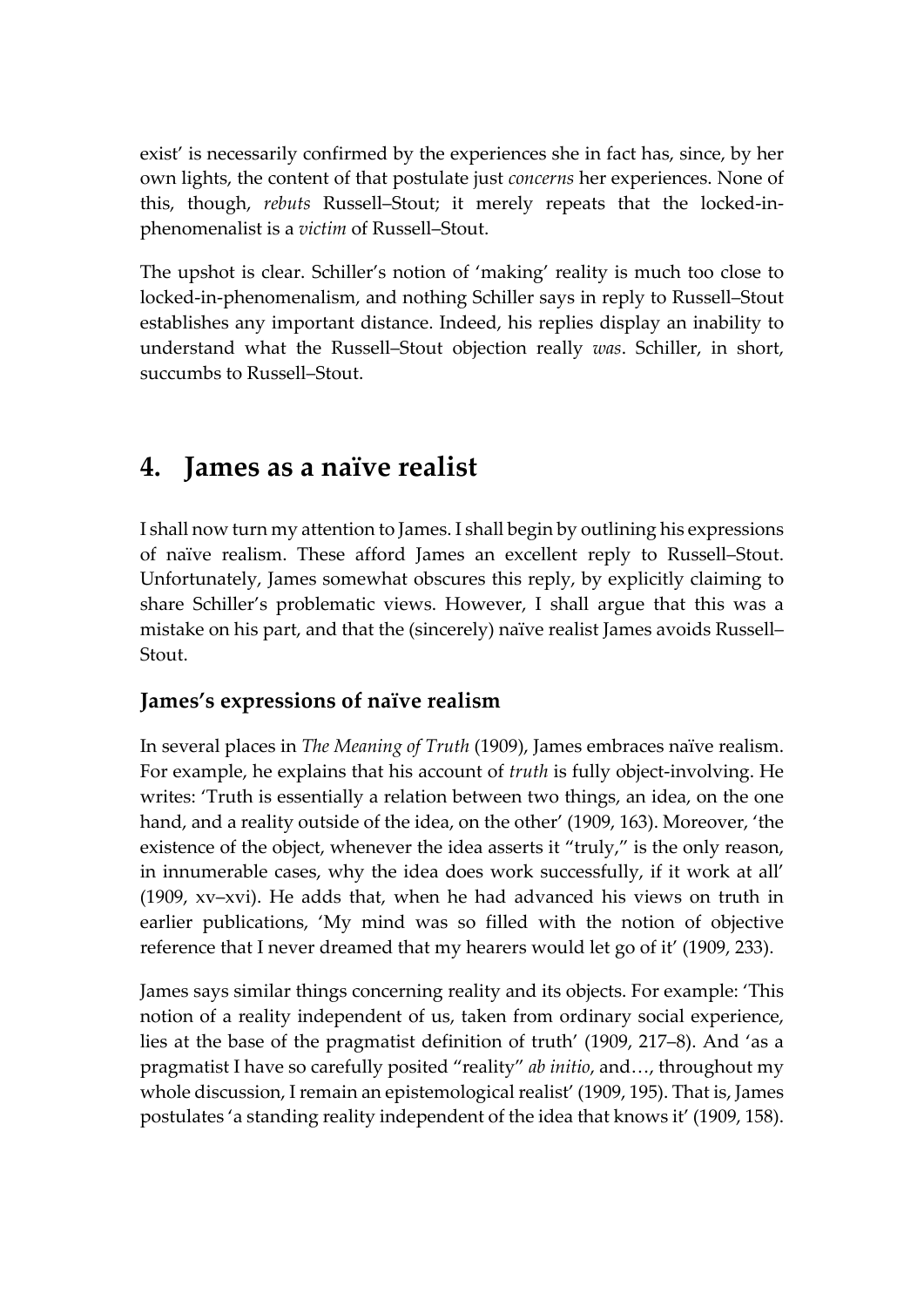exist' is necessarily confirmed by the experiences she in fact has, since, by her own lights, the content of that postulate just *concerns* her experiences. None of this, though, *rebuts* Russell–Stout; it merely repeats that the locked-inphenomenalist is a *victim* of Russell–Stout.

The upshot is clear. Schiller's notion of 'making' reality is much too close to locked-in-phenomenalism, and nothing Schiller says in reply to Russell–Stout establishes any important distance. Indeed, his replies display an inability to understand what the Russell–Stout objection really *was*. Schiller, in short, succumbs to Russell–Stout.

### **4. James as a naïve realist**

I shall now turn my attention to James. I shall begin by outlining his expressions of naïve realism. These afford James an excellent reply to Russell–Stout. Unfortunately, James somewhat obscures this reply, by explicitly claiming to share Schiller's problematic views. However, I shall argue that this was a mistake on his part, and that the (sincerely) naïve realist James avoids Russell– Stout.

#### **James's expressions of naïve realism**

In several places in *The Meaning of Truth* (1909), James embraces naïve realism. For example, he explains that his account of *truth* is fully object-involving. He writes: 'Truth is essentially a relation between two things, an idea, on the one hand, and a reality outside of the idea, on the other' (1909, 163). Moreover, 'the existence of the object, whenever the idea asserts it "truly," is the only reason, in innumerable cases, why the idea does work successfully, if it work at all' (1909, xv–xvi). He adds that, when he had advanced his views on truth in earlier publications, 'My mind was so filled with the notion of objective reference that I never dreamed that my hearers would let go of it' (1909, 233).

James says similar things concerning reality and its objects. For example: 'This notion of a reality independent of us, taken from ordinary social experience, lies at the base of the pragmatist definition of truth' (1909, 217–8). And 'as a pragmatist I have so carefully posited "reality" *ab initio*, and…, throughout my whole discussion, I remain an epistemological realist' (1909, 195). That is, James postulates 'a standing reality independent of the idea that knows it' (1909, 158).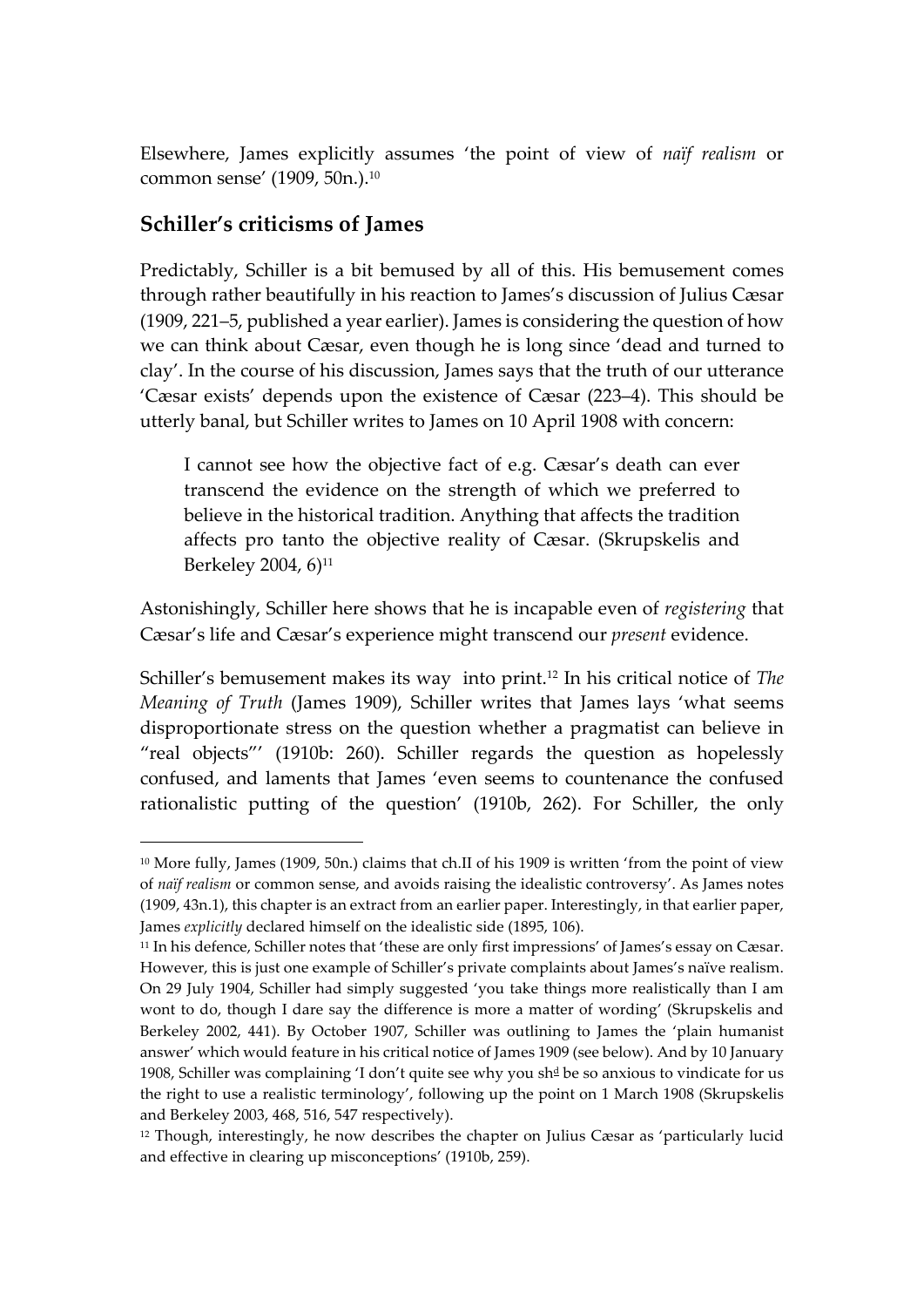Elsewhere, James explicitly assumes 'the point of view of *naïf realism* or common sense' (1909, 50n.). 10

#### **Schiller's criticisms of James**

Predictably, Schiller is a bit bemused by all of this. His bemusement comes through rather beautifully in his reaction to James's discussion of Julius Cæsar (1909, 221–5, published a year earlier). James is considering the question of how we can think about Cæsar, even though he is long since 'dead and turned to clay'. In the course of his discussion, James says that the truth of our utterance 'Cæsar exists' depends upon the existence of Cæsar (223–4). This should be utterly banal, but Schiller writes to James on 10 April 1908 with concern:

I cannot see how the objective fact of e.g. Cæsar's death can ever transcend the evidence on the strength of which we preferred to believe in the historical tradition. Anything that affects the tradition affects pro tanto the objective reality of Cæsar. (Skrupskelis and Berkeley 2004, 6)<sup>11</sup>

Astonishingly, Schiller here shows that he is incapable even of *registering* that Cæsar's life and Cæsar's experience might transcend our *present* evidence.

Schiller's bemusement makes its way into print.<sup>12</sup> In his critical notice of *The Meaning of Truth* (James 1909), Schiller writes that James lays 'what seems disproportionate stress on the question whether a pragmatist can believe in "real objects"' (1910b: 260). Schiller regards the question as hopelessly confused, and laments that James 'even seems to countenance the confused rationalistic putting of the question' (1910b, 262). For Schiller, the only

 <sup>10</sup> More fully, James (1909, 50n.) claims that ch.II of his 1909 is written 'from the point of view of *naïf realism* or common sense, and avoids raising the idealistic controversy'. As James notes (1909, 43n.1), this chapter is an extract from an earlier paper. Interestingly, in that earlier paper, James *explicitly* declared himself on the idealistic side (1895, 106).

<sup>11</sup> In his defence, Schiller notes that 'these are only first impressions' of James's essay on Cæsar. However, this is just one example of Schiller's private complaints about James's naïve realism. On 29 July 1904, Schiller had simply suggested 'you take things more realistically than I am wont to do, though I dare say the difference is more a matter of wording' (Skrupskelis and Berkeley 2002, 441). By October 1907, Schiller was outlining to James the 'plain humanist answer' which would feature in his critical notice of James 1909 (see below). And by 10 January 1908, Schiller was complaining 'I don't quite see why you sh<sup>d</sup> be so anxious to vindicate for us the right to use a realistic terminology', following up the point on 1 March 1908 (Skrupskelis and Berkeley 2003, 468, 516, 547 respectively).

 $12$  Though, interestingly, he now describes the chapter on Julius Cæsar as 'particularly lucid and effective in clearing up misconceptions' (1910b, 259).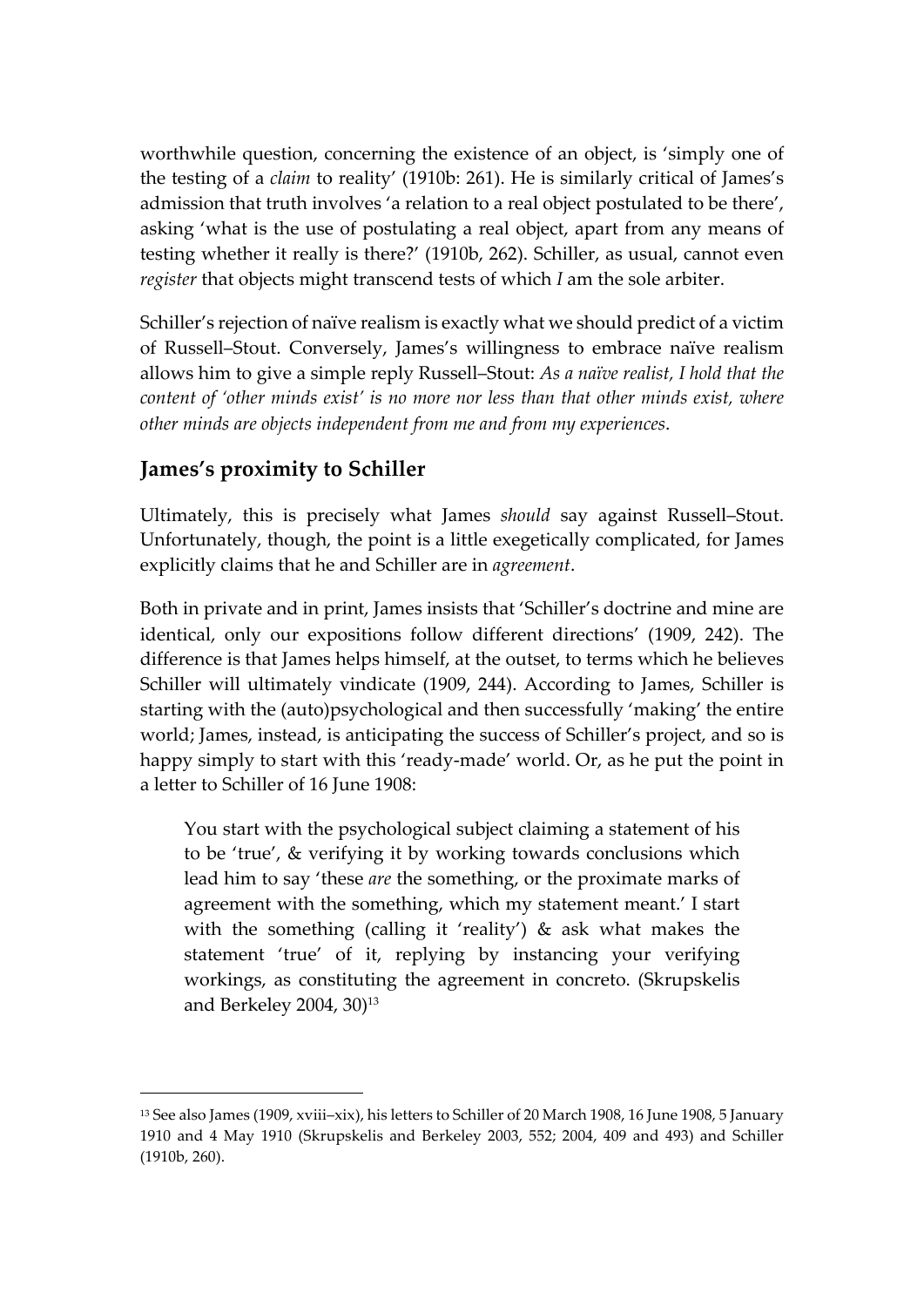worthwhile question, concerning the existence of an object, is 'simply one of the testing of a *claim* to reality' (1910b: 261). He is similarly critical of James's admission that truth involves 'a relation to a real object postulated to be there', asking 'what is the use of postulating a real object, apart from any means of testing whether it really is there?' (1910b, 262). Schiller, as usual, cannot even *register* that objects might transcend tests of which *I* am the sole arbiter.

Schiller's rejection of naïve realism is exactly what we should predict of a victim of Russell–Stout. Conversely, James's willingness to embrace naïve realism allows him to give a simple reply Russell–Stout: *As a naïve realist, I hold that the content of 'other minds exist' is no more nor less than that other minds exist, where other minds are objects independent from me and from my experiences*.

#### **James's proximity to Schiller**

 $\overline{a}$ 

Ultimately, this is precisely what James *should* say against Russell–Stout. Unfortunately, though, the point is a little exegetically complicated, for James explicitly claims that he and Schiller are in *agreement*.

Both in private and in print, James insists that 'Schiller's doctrine and mine are identical, only our expositions follow different directions' (1909, 242). The difference is that James helps himself, at the outset, to terms which he believes Schiller will ultimately vindicate (1909, 244). According to James, Schiller is starting with the (auto)psychological and then successfully 'making' the entire world; James, instead, is anticipating the success of Schiller's project, and so is happy simply to start with this 'ready-made' world. Or, as he put the point in a letter to Schiller of 16 June 1908:

You start with the psychological subject claiming a statement of his to be 'true', & verifying it by working towards conclusions which lead him to say 'these *are* the something, or the proximate marks of agreement with the something, which my statement meant.' I start with the something (calling it 'reality') & ask what makes the statement 'true' of it, replying by instancing your verifying workings, as constituting the agreement in concreto. (Skrupskelis and Berkeley 2004, 30)<sup>13</sup>

<sup>13</sup> See also James (1909, xviii–xix), his letters to Schiller of 20 March 1908, 16 June 1908, 5 January 1910 and 4 May 1910 (Skrupskelis and Berkeley 2003, 552; 2004, 409 and 493) and Schiller (1910b, 260).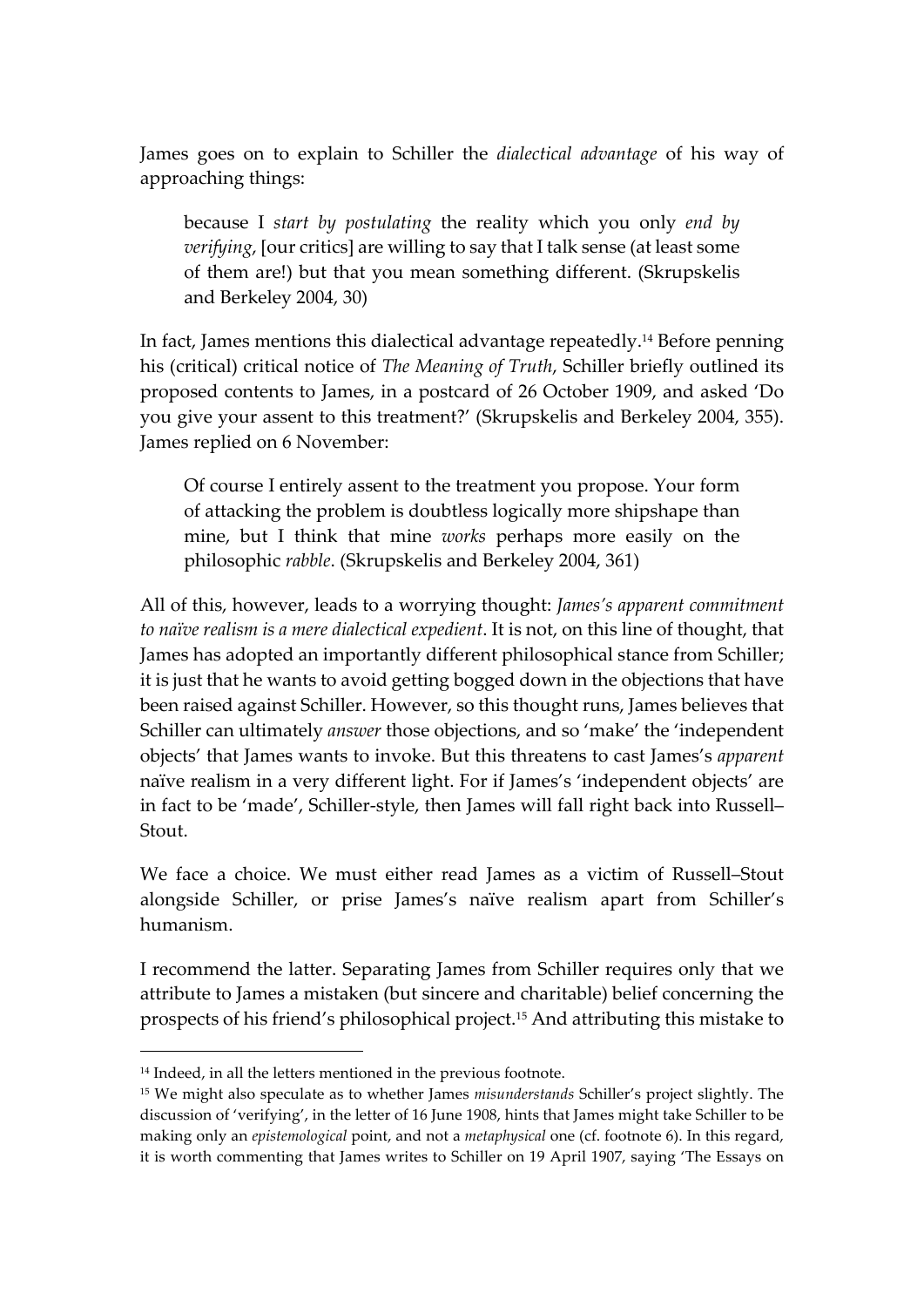James goes on to explain to Schiller the *dialectical advantage* of his way of approaching things:

because I *start by postulating* the reality which you only *end by verifying*, [our critics] are willing to say that I talk sense (at least some of them are!) but that you mean something different. (Skrupskelis and Berkeley 2004, 30)

In fact, James mentions this dialectical advantage repeatedly. <sup>14</sup> Before penning his (critical) critical notice of *The Meaning of Truth*, Schiller briefly outlined its proposed contents to James, in a postcard of 26 October 1909, and asked 'Do you give your assent to this treatment?' (Skrupskelis and Berkeley 2004, 355). James replied on 6 November:

Of course I entirely assent to the treatment you propose. Your form of attacking the problem is doubtless logically more shipshape than mine, but I think that mine *works* perhaps more easily on the philosophic *rabble*. (Skrupskelis and Berkeley 2004, 361)

All of this, however, leads to a worrying thought: *James's apparent commitment to naïve realism is a mere dialectical expedient*. It is not, on this line of thought, that James has adopted an importantly different philosophical stance from Schiller; it is just that he wants to avoid getting bogged down in the objections that have been raised against Schiller. However, so this thought runs, James believes that Schiller can ultimately *answer* those objections, and so 'make' the 'independent objects' that James wants to invoke. But this threatens to cast James's *apparent* naïve realism in a very different light. For if James's 'independent objects' are in fact to be 'made', Schiller-style, then James will fall right back into Russell– Stout.

We face a choice. We must either read James as a victim of Russell–Stout alongside Schiller, or prise James's naïve realism apart from Schiller's humanism.

I recommend the latter. Separating James from Schiller requires only that we attribute to James a mistaken (but sincere and charitable) belief concerning the prospects of his friend's philosophical project.15 And attributing this mistake to

 <sup>14</sup> Indeed, in all the letters mentioned in the previous footnote.

<sup>15</sup> We might also speculate as to whether James *misunderstands* Schiller's project slightly. The discussion of 'verifying', in the letter of 16 June 1908, hints that James might take Schiller to be making only an *epistemological* point, and not a *metaphysical* one (cf. footnote 6). In this regard, it is worth commenting that James writes to Schiller on 19 April 1907, saying 'The Essays on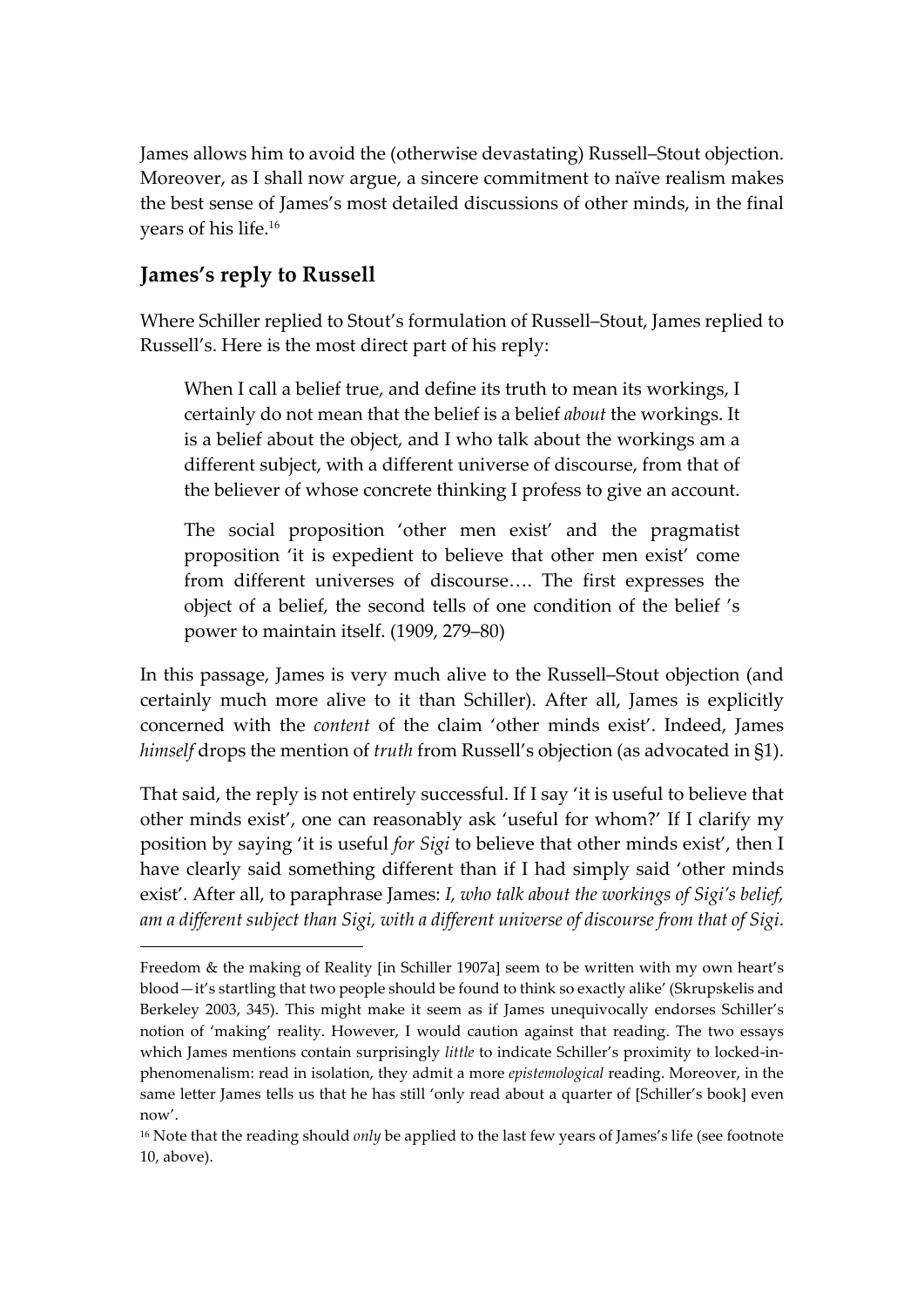James allows him to avoid the (otherwise devastating) Russell–Stout objection. Moreover, as I shall now argue, a sincere commitment to naïve realism makes the best sense of James's most detailed discussions of other minds, in the final years of his life.16

#### **James's reply to Russell**

 $\overline{a}$ 

Where Schiller replied to Stout's formulation of Russell–Stout, James replied to Russell's. Here is the most direct part of his reply:

When I call a belief true, and define its truth to mean its workings, I certainly do not mean that the belief is a belief *about* the workings. It is a belief about the object, and I who talk about the workings am a different subject, with a different universe of discourse, from that of the believer of whose concrete thinking I profess to give an account.

The social proposition 'other men exist' and the pragmatist proposition 'it is expedient to believe that other men exist' come from different universes of discourse…. The first expresses the object of a belief, the second tells of one condition of the belief 's power to maintain itself. (1909, 279–80)

In this passage, James is very much alive to the Russell–Stout objection (and certainly much more alive to it than Schiller). After all, James is explicitly concerned with the *content* of the claim 'other minds exist'. Indeed, James *himself* drops the mention of *truth* from Russell's objection (as advocated in §1).

That said, the reply is not entirely successful. If I say 'it is useful to believe that other minds exist', one can reasonably ask 'useful for whom?' If I clarify my position by saying 'it is useful *for Sigi* to believe that other minds exist', then I have clearly said something different than if I had simply said 'other minds exist'. After all, to paraphrase James: *I, who talk about the workings of Sigi's belief, am a different subject than Sigi, with a different universe of discourse from that of Sigi*.

Freedom & the making of Reality [in Schiller 1907a] seem to be written with my own heart's blood—it's startling that two people should be found to think so exactly alike' (Skrupskelis and Berkeley 2003, 345). This might make it seem as if James unequivocally endorses Schiller's notion of 'making' reality. However, I would caution against that reading. The two essays which James mentions contain surprisingly *little* to indicate Schiller's proximity to locked-inphenomenalism: read in isolation, they admit a more *epistemological* reading. Moreover, in the same letter James tells us that he has still 'only read about a quarter of [Schiller's book] even now'.

<sup>&</sup>lt;sup>16</sup> Note that the reading should *only* be applied to the last few years of James's life (see footnote 10, above).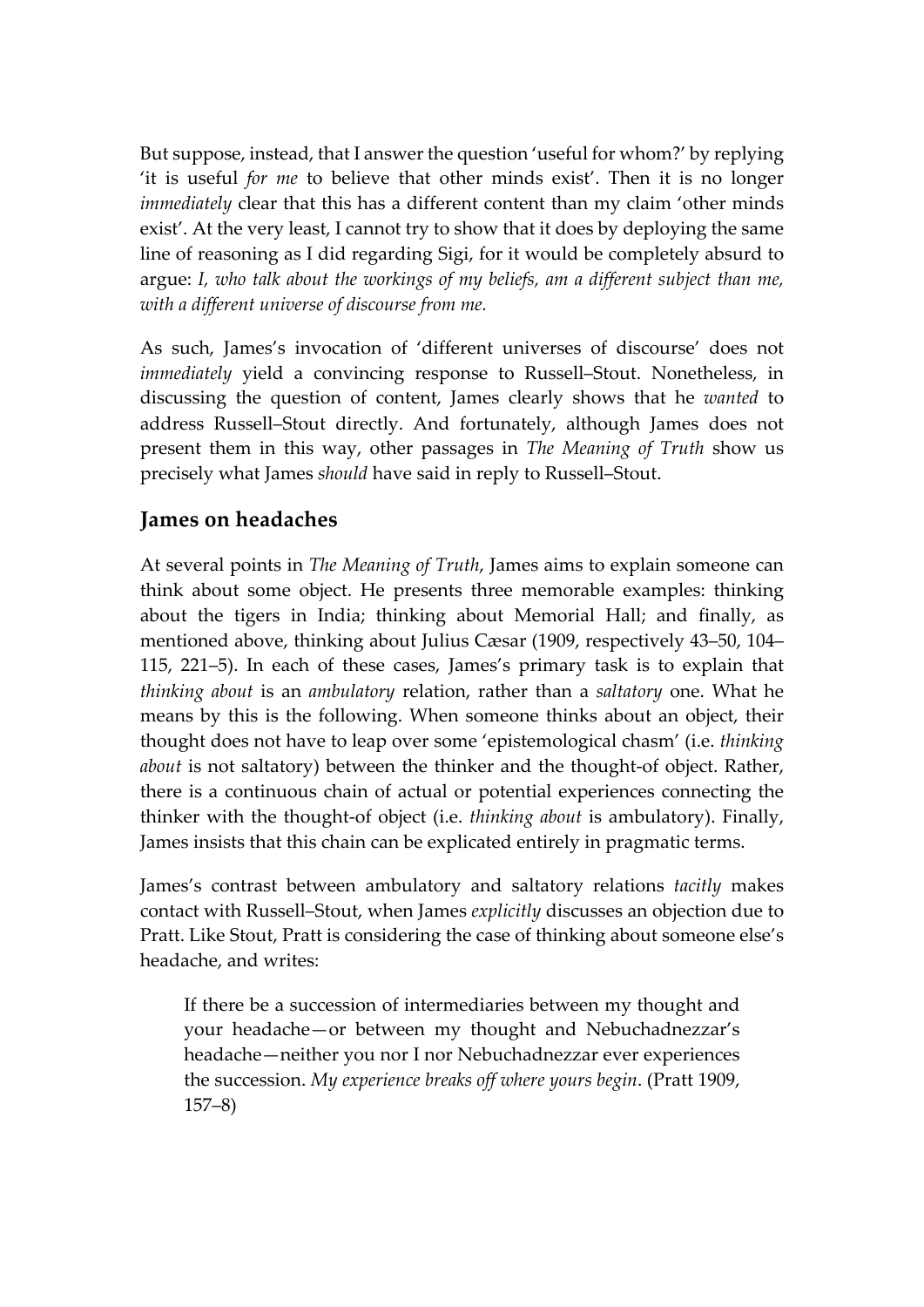But suppose, instead, that I answer the question 'useful for whom?' by replying 'it is useful *for me* to believe that other minds exist'. Then it is no longer *immediately* clear that this has a different content than my claim 'other minds exist'. At the very least, I cannot try to show that it does by deploying the same line of reasoning as I did regarding Sigi, for it would be completely absurd to argue: *I, who talk about the workings of my beliefs, am a different subject than me, with a different universe of discourse from me.*

As such, James's invocation of 'different universes of discourse' does not *immediately* yield a convincing response to Russell–Stout. Nonetheless, in discussing the question of content, James clearly shows that he *wanted* to address Russell–Stout directly. And fortunately, although James does not present them in this way, other passages in *The Meaning of Truth* show us precisely what James *should* have said in reply to Russell–Stout.

#### **James on headaches**

At several points in *The Meaning of Truth*, James aims to explain someone can think about some object. He presents three memorable examples: thinking about the tigers in India; thinking about Memorial Hall; and finally, as mentioned above, thinking about Julius Cæsar (1909, respectively 43–50, 104– 115, 221–5). In each of these cases, James's primary task is to explain that *thinking about* is an *ambulatory* relation, rather than a *saltatory* one. What he means by this is the following. When someone thinks about an object, their thought does not have to leap over some 'epistemological chasm' (i.e. *thinking about* is not saltatory) between the thinker and the thought-of object. Rather, there is a continuous chain of actual or potential experiences connecting the thinker with the thought-of object (i.e. *thinking about* is ambulatory). Finally, James insists that this chain can be explicated entirely in pragmatic terms.

James's contrast between ambulatory and saltatory relations *tacitly* makes contact with Russell–Stout, when James *explicitly* discusses an objection due to Pratt. Like Stout, Pratt is considering the case of thinking about someone else's headache, and writes:

If there be a succession of intermediaries between my thought and your headache—or between my thought and Nebuchadnezzar's headache—neither you nor I nor Nebuchadnezzar ever experiences the succession. *My experience breaks off where yours begin*. (Pratt 1909, 157–8)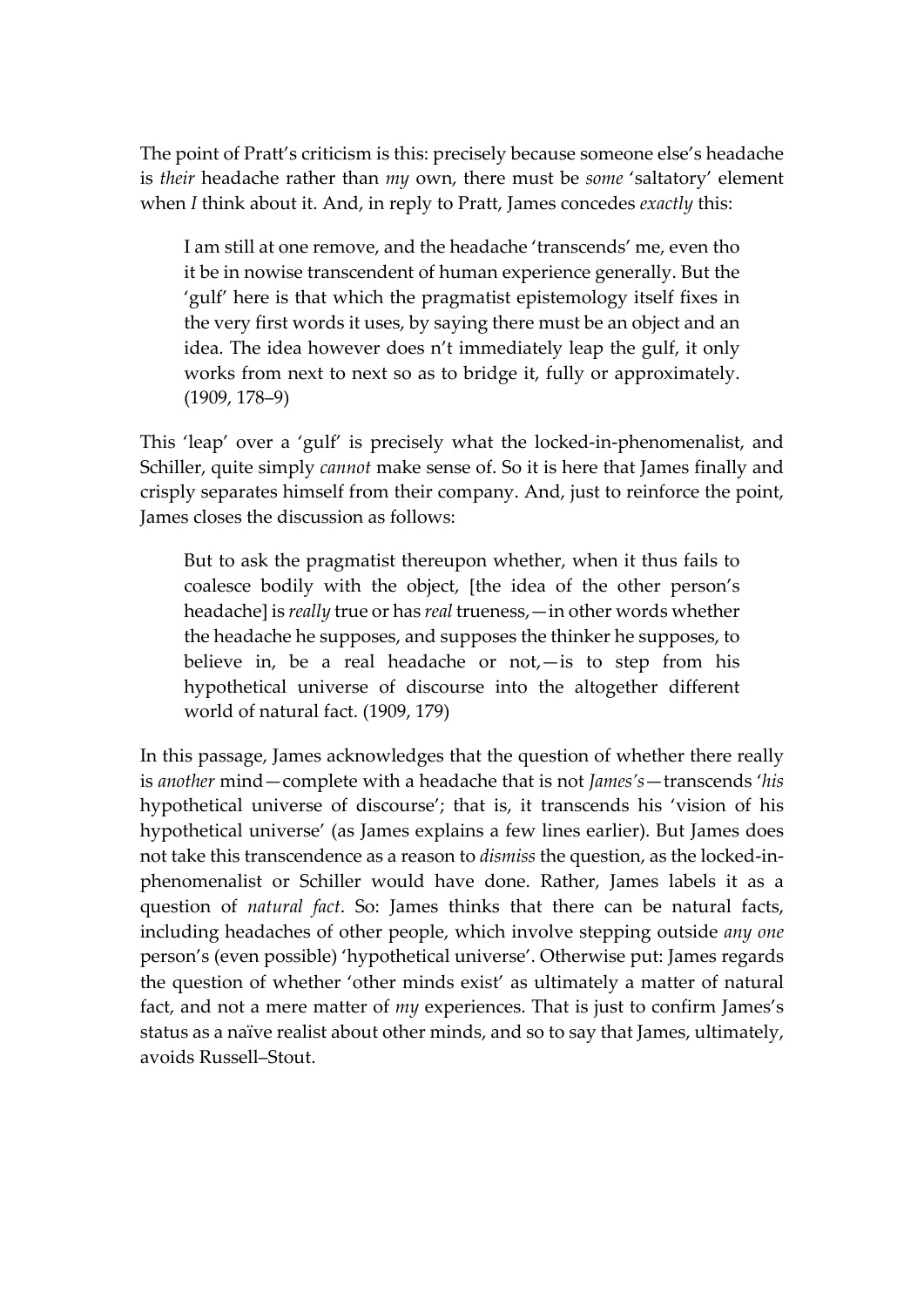The point of Pratt's criticism is this: precisely because someone else's headache is *their* headache rather than *my* own, there must be *some* 'saltatory' element when *I* think about it. And, in reply to Pratt, James concedes *exactly* this:

I am still at one remove, and the headache 'transcends' me, even tho it be in nowise transcendent of human experience generally. But the 'gulf' here is that which the pragmatist epistemology itself fixes in the very first words it uses, by saying there must be an object and an idea. The idea however does n't immediately leap the gulf, it only works from next to next so as to bridge it, fully or approximately. (1909, 178–9)

This 'leap' over a 'gulf' is precisely what the locked-in-phenomenalist, and Schiller, quite simply *cannot* make sense of. So it is here that James finally and crisply separates himself from their company. And, just to reinforce the point, James closes the discussion as follows:

But to ask the pragmatist thereupon whether, when it thus fails to coalesce bodily with the object, [the idea of the other person's headache] is *really* true or has *real* trueness,—in other words whether the headache he supposes, and supposes the thinker he supposes, to believe in, be a real headache or not,—is to step from his hypothetical universe of discourse into the altogether different world of natural fact. (1909, 179)

In this passage, James acknowledges that the question of whether there really is *another* mind—complete with a headache that is not *James's*—transcends '*his* hypothetical universe of discourse'; that is, it transcends his 'vision of his hypothetical universe' (as James explains a few lines earlier). But James does not take this transcendence as a reason to *dismiss* the question, as the locked-inphenomenalist or Schiller would have done. Rather, James labels it as a question of *natural fact*. So: James thinks that there can be natural facts, including headaches of other people, which involve stepping outside *any one* person's (even possible) 'hypothetical universe'. Otherwise put: James regards the question of whether 'other minds exist' as ultimately a matter of natural fact, and not a mere matter of *my* experiences. That is just to confirm James's status as a naïve realist about other minds, and so to say that James, ultimately, avoids Russell–Stout.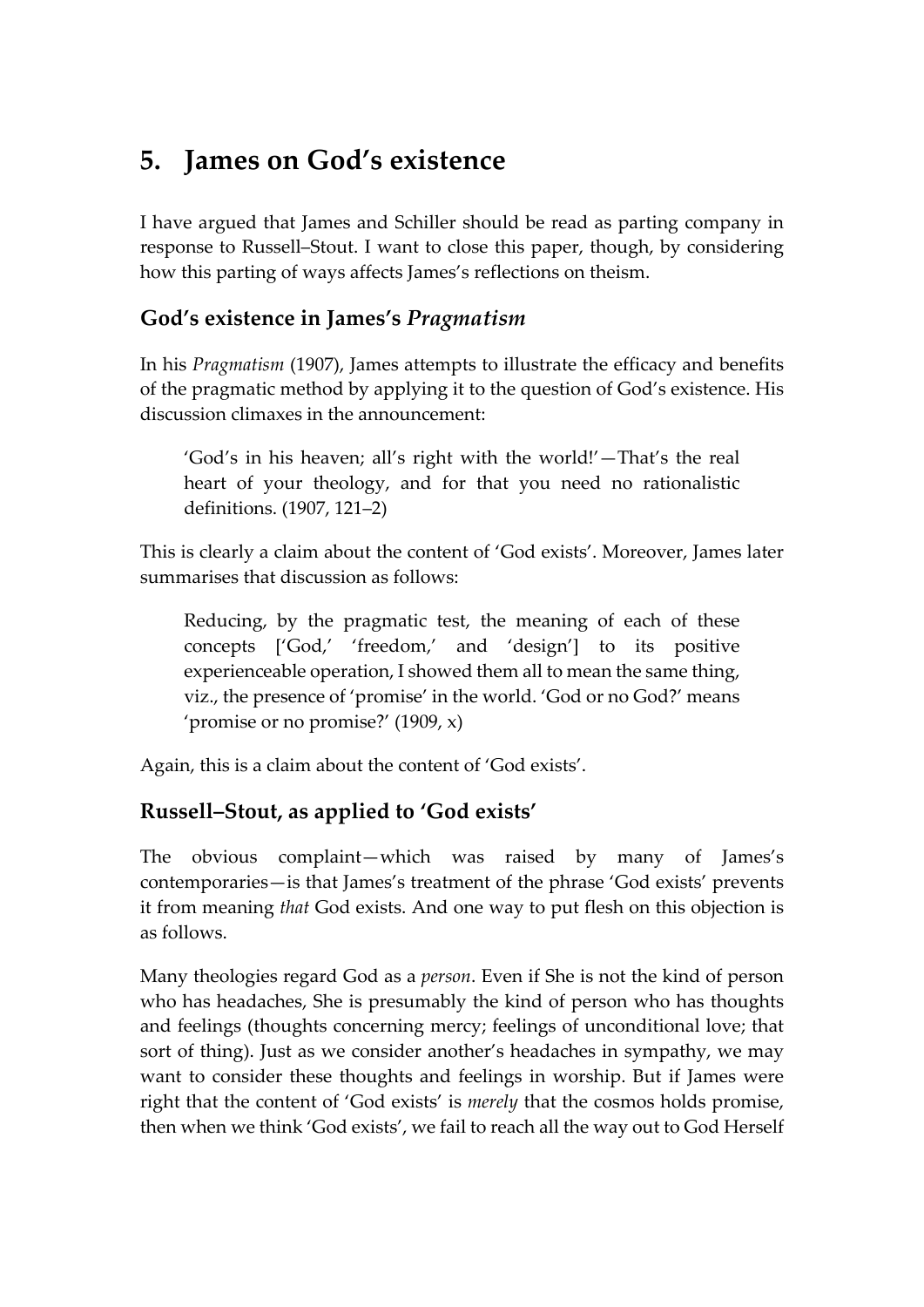### **5. James on God's existence**

I have argued that James and Schiller should be read as parting company in response to Russell–Stout. I want to close this paper, though, by considering how this parting of ways affects James's reflections on theism.

#### **God's existence in James's** *Pragmatism*

In his *Pragmatism* (1907), James attempts to illustrate the efficacy and benefits of the pragmatic method by applying it to the question of God's existence. His discussion climaxes in the announcement:

'God's in his heaven; all's right with the world!'—That's the real heart of your theology, and for that you need no rationalistic definitions. (1907, 121–2)

This is clearly a claim about the content of 'God exists'. Moreover, James later summarises that discussion as follows:

Reducing, by the pragmatic test, the meaning of each of these concepts ['God,' 'freedom,' and 'design'] to its positive experienceable operation, I showed them all to mean the same thing, viz., the presence of 'promise' in the world. 'God or no God?' means 'promise or no promise?' (1909, x)

Again, this is a claim about the content of 'God exists'.

#### **Russell–Stout, as applied to 'God exists'**

The obvious complaint—which was raised by many of James's contemporaries—is that James's treatment of the phrase 'God exists' prevents it from meaning *that* God exists. And one way to put flesh on this objection is as follows.

Many theologies regard God as a *person*. Even if She is not the kind of person who has headaches, She is presumably the kind of person who has thoughts and feelings (thoughts concerning mercy; feelings of unconditional love; that sort of thing). Just as we consider another's headaches in sympathy, we may want to consider these thoughts and feelings in worship. But if James were right that the content of 'God exists' is *merely* that the cosmos holds promise, then when we think 'God exists', we fail to reach all the way out to God Herself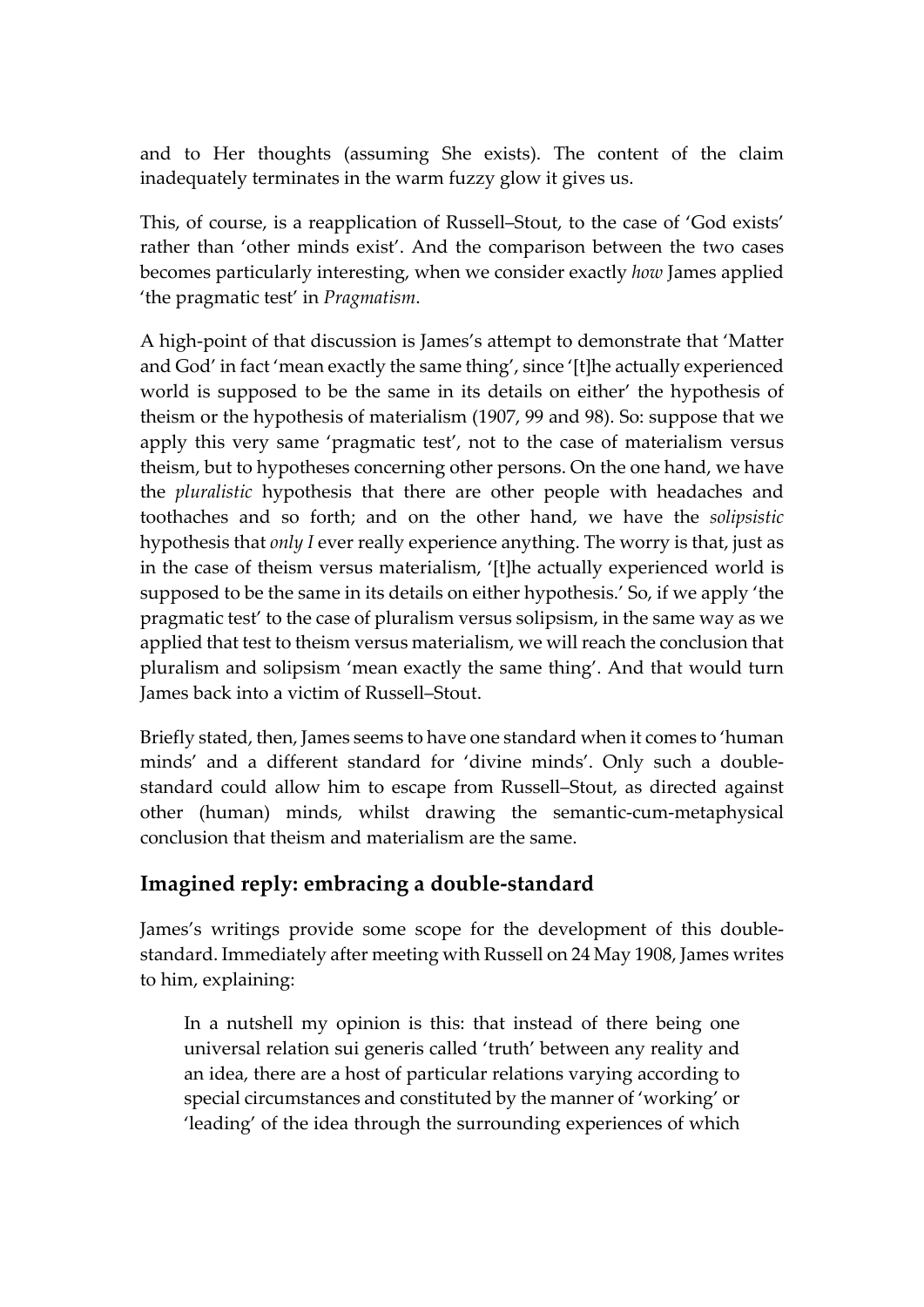and to Her thoughts (assuming She exists). The content of the claim inadequately terminates in the warm fuzzy glow it gives us.

This, of course, is a reapplication of Russell–Stout, to the case of 'God exists' rather than 'other minds exist'. And the comparison between the two cases becomes particularly interesting, when we consider exactly *how* James applied 'the pragmatic test' in *Pragmatism*.

A high-point of that discussion is James's attempt to demonstrate that 'Matter and God' in fact 'mean exactly the same thing', since '[t]he actually experienced world is supposed to be the same in its details on either' the hypothesis of theism or the hypothesis of materialism (1907, 99 and 98). So: suppose that we apply this very same 'pragmatic test', not to the case of materialism versus theism, but to hypotheses concerning other persons. On the one hand, we have the *pluralistic* hypothesis that there are other people with headaches and toothaches and so forth; and on the other hand, we have the *solipsistic* hypothesis that *only I* ever really experience anything. The worry is that, just as in the case of theism versus materialism, '[t]he actually experienced world is supposed to be the same in its details on either hypothesis.' So, if we apply 'the pragmatic test' to the case of pluralism versus solipsism, in the same way as we applied that test to theism versus materialism, we will reach the conclusion that pluralism and solipsism 'mean exactly the same thing'. And that would turn James back into a victim of Russell–Stout.

Briefly stated, then, James seems to have one standard when it comes to 'human minds' and a different standard for 'divine minds'. Only such a doublestandard could allow him to escape from Russell–Stout, as directed against other (human) minds, whilst drawing the semantic-cum-metaphysical conclusion that theism and materialism are the same.

#### **Imagined reply: embracing a double-standard**

James's writings provide some scope for the development of this doublestandard. Immediately after meeting with Russell on 24 May 1908, James writes to him, explaining:

In a nutshell my opinion is this: that instead of there being one universal relation sui generis called 'truth' between any reality and an idea, there are a host of particular relations varying according to special circumstances and constituted by the manner of 'working' or 'leading' of the idea through the surrounding experiences of which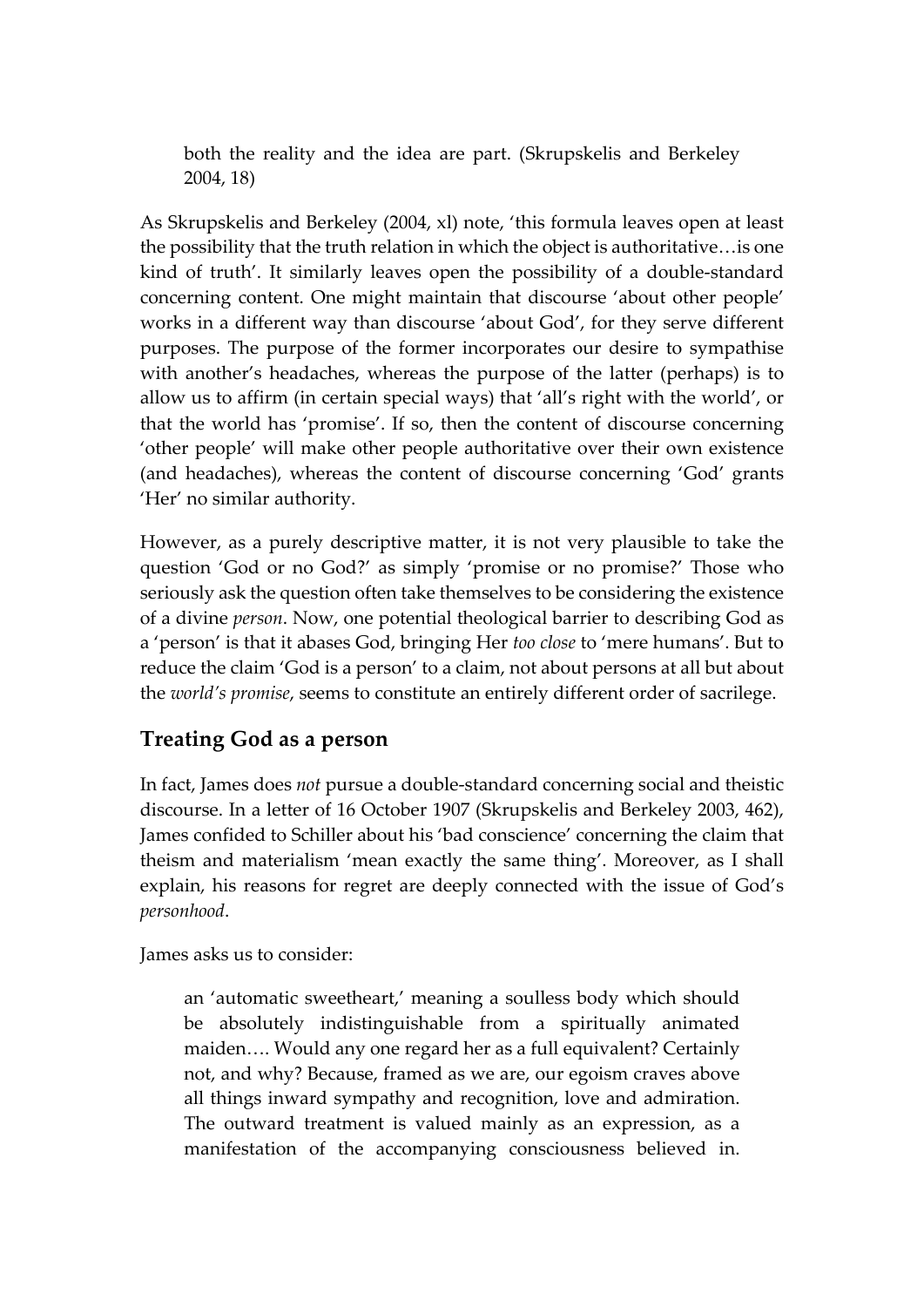both the reality and the idea are part. (Skrupskelis and Berkeley 2004, 18)

As Skrupskelis and Berkeley (2004, xl) note, 'this formula leaves open at least the possibility that the truth relation in which the object is authoritative…is one kind of truth'. It similarly leaves open the possibility of a double-standard concerning content. One might maintain that discourse 'about other people' works in a different way than discourse 'about God', for they serve different purposes. The purpose of the former incorporates our desire to sympathise with another's headaches, whereas the purpose of the latter (perhaps) is to allow us to affirm (in certain special ways) that 'all's right with the world', or that the world has 'promise'. If so, then the content of discourse concerning 'other people' will make other people authoritative over their own existence (and headaches), whereas the content of discourse concerning 'God' grants 'Her' no similar authority.

However, as a purely descriptive matter, it is not very plausible to take the question 'God or no God?' as simply 'promise or no promise?' Those who seriously ask the question often take themselves to be considering the existence of a divine *person*. Now, one potential theological barrier to describing God as a 'person' is that it abases God, bringing Her *too close* to 'mere humans'. But to reduce the claim 'God is a person' to a claim, not about persons at all but about the *world's promise*, seems to constitute an entirely different order of sacrilege.

#### **Treating God as a person**

In fact, James does *not* pursue a double-standard concerning social and theistic discourse. In a letter of 16 October 1907 (Skrupskelis and Berkeley 2003, 462), James confided to Schiller about his 'bad conscience' concerning the claim that theism and materialism 'mean exactly the same thing'. Moreover, as I shall explain, his reasons for regret are deeply connected with the issue of God's *personhood*.

James asks us to consider:

an 'automatic sweetheart,' meaning a soulless body which should be absolutely indistinguishable from a spiritually animated maiden…. Would any one regard her as a full equivalent? Certainly not, and why? Because, framed as we are, our egoism craves above all things inward sympathy and recognition, love and admiration. The outward treatment is valued mainly as an expression, as a manifestation of the accompanying consciousness believed in.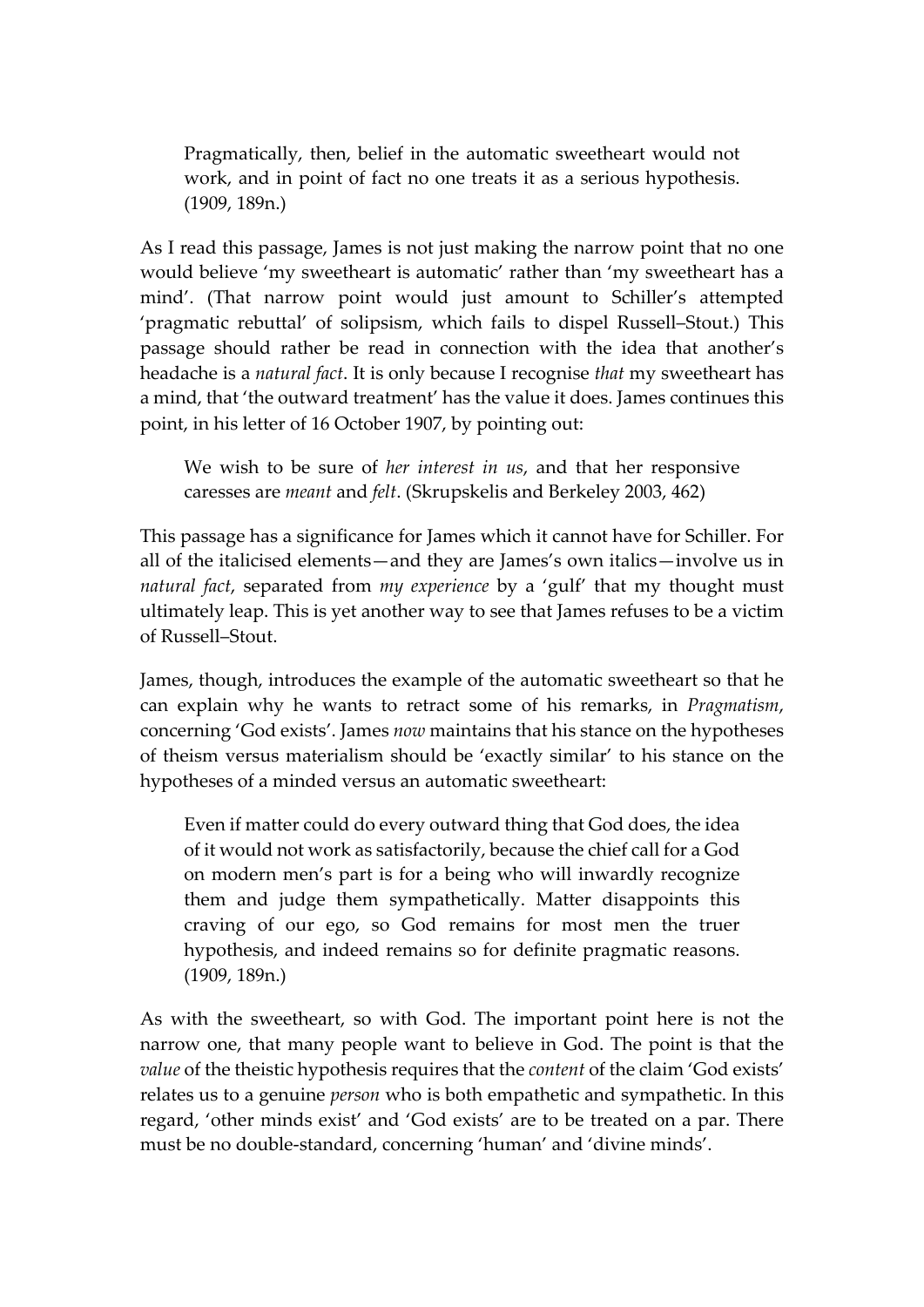Pragmatically, then, belief in the automatic sweetheart would not work, and in point of fact no one treats it as a serious hypothesis. (1909, 189n.)

As I read this passage, James is not just making the narrow point that no one would believe 'my sweetheart is automatic' rather than 'my sweetheart has a mind'. (That narrow point would just amount to Schiller's attempted 'pragmatic rebuttal' of solipsism, which fails to dispel Russell–Stout.) This passage should rather be read in connection with the idea that another's headache is a *natural fact*. It is only because I recognise *that* my sweetheart has a mind, that 'the outward treatment' has the value it does. James continues this point, in his letter of 16 October 1907, by pointing out:

We wish to be sure of *her interest in us*, and that her responsive caresses are *meant* and *felt*. (Skrupskelis and Berkeley 2003, 462)

This passage has a significance for James which it cannot have for Schiller. For all of the italicised elements—and they are James's own italics—involve us in *natural fact*, separated from *my experience* by a 'gulf' that my thought must ultimately leap. This is yet another way to see that James refuses to be a victim of Russell–Stout.

James, though, introduces the example of the automatic sweetheart so that he can explain why he wants to retract some of his remarks, in *Pragmatism*, concerning 'God exists'. James *now* maintains that his stance on the hypotheses of theism versus materialism should be 'exactly similar' to his stance on the hypotheses of a minded versus an automatic sweetheart:

Even if matter could do every outward thing that God does, the idea of it would not work as satisfactorily, because the chief call for a God on modern men's part is for a being who will inwardly recognize them and judge them sympathetically. Matter disappoints this craving of our ego, so God remains for most men the truer hypothesis, and indeed remains so for definite pragmatic reasons. (1909, 189n.)

As with the sweetheart, so with God. The important point here is not the narrow one, that many people want to believe in God. The point is that the *value* of the theistic hypothesis requires that the *content* of the claim 'God exists' relates us to a genuine *person* who is both empathetic and sympathetic. In this regard, 'other minds exist' and 'God exists' are to be treated on a par. There must be no double-standard, concerning 'human' and 'divine minds'.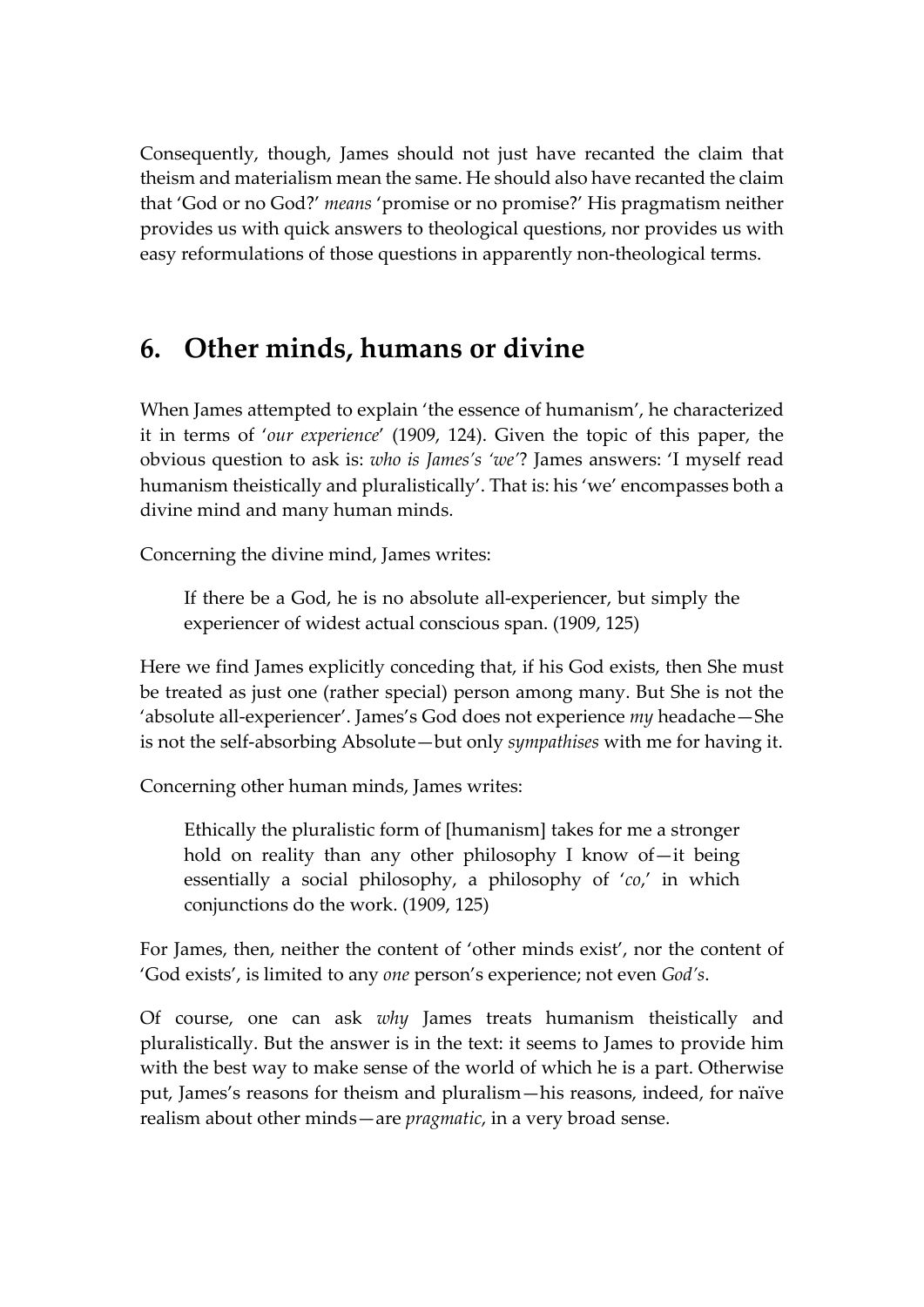Consequently, though, James should not just have recanted the claim that theism and materialism mean the same. He should also have recanted the claim that 'God or no God?' *means* 'promise or no promise?' His pragmatism neither provides us with quick answers to theological questions, nor provides us with easy reformulations of those questions in apparently non-theological terms.

### **6. Other minds, humans or divine**

When James attempted to explain 'the essence of humanism', he characterized it in terms of '*our experience*' (1909, 124). Given the topic of this paper, the obvious question to ask is: *who is James's 'we'*? James answers: 'I myself read humanism theistically and pluralistically'. That is: his 'we' encompasses both a divine mind and many human minds.

Concerning the divine mind, James writes:

If there be a God, he is no absolute all-experiencer, but simply the experiencer of widest actual conscious span. (1909, 125)

Here we find James explicitly conceding that, if his God exists, then She must be treated as just one (rather special) person among many. But She is not the 'absolute all-experiencer'. James's God does not experience *my* headache—She is not the self-absorbing Absolute—but only *sympathises* with me for having it.

Concerning other human minds, James writes:

Ethically the pluralistic form of [humanism] takes for me a stronger hold on reality than any other philosophy I know of—it being essentially a social philosophy, a philosophy of '*co*,' in which conjunctions do the work. (1909, 125)

For James, then, neither the content of 'other minds exist', nor the content of 'God exists', is limited to any *one* person's experience; not even *God's*.

Of course, one can ask *why* James treats humanism theistically and pluralistically. But the answer is in the text: it seems to James to provide him with the best way to make sense of the world of which he is a part. Otherwise put, James's reasons for theism and pluralism—his reasons, indeed, for naïve realism about other minds—are *pragmatic*, in a very broad sense.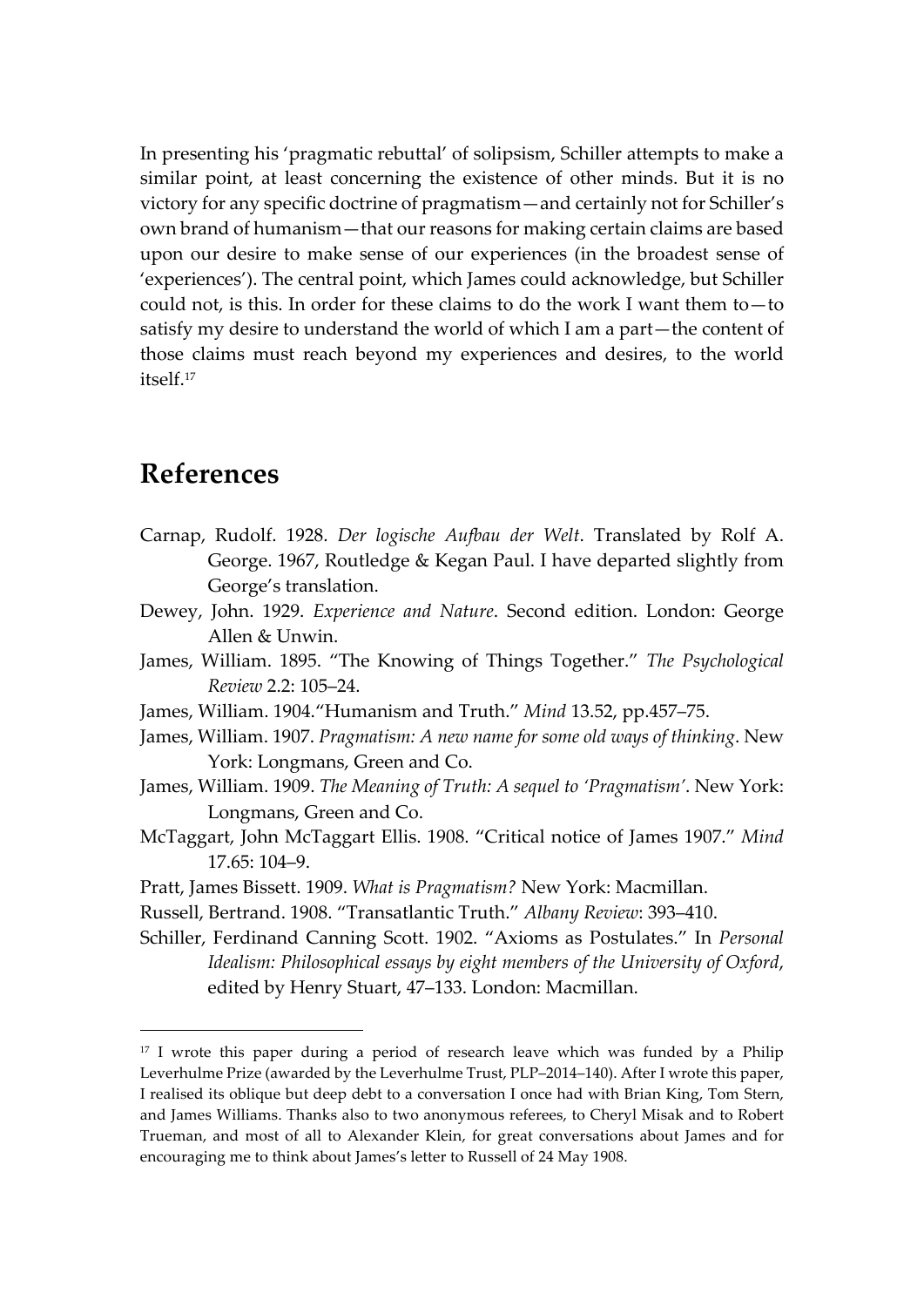In presenting his 'pragmatic rebuttal' of solipsism, Schiller attempts to make a similar point, at least concerning the existence of other minds. But it is no victory for any specific doctrine of pragmatism—and certainly not for Schiller's own brand of humanism—that our reasons for making certain claims are based upon our desire to make sense of our experiences (in the broadest sense of 'experiences'). The central point, which James could acknowledge, but Schiller could not, is this. In order for these claims to do the work I want them to—to satisfy my desire to understand the world of which I am a part—the content of those claims must reach beyond my experiences and desires, to the world itself. 17

#### **References**

- Carnap, Rudolf. 1928. *Der logische Aufbau der Welt*. Translated by Rolf A. George. 1967, Routledge & Kegan Paul. I have departed slightly from George's translation.
- Dewey, John. 1929. *Experience and Nature*. Second edition. London: George Allen & Unwin.
- James, William. 1895. "The Knowing of Things Together." *The Psychological Review* 2.2: 105–24.
- James, William. 1904."Humanism and Truth." *Mind* 13.52, pp.457–75.
- James, William. 1907. *Pragmatism: A new name for some old ways of thinking*. New York: Longmans, Green and Co.
- James, William. 1909. *The Meaning of Truth: A sequel to 'Pragmatism'*. New York: Longmans, Green and Co.
- McTaggart, John McTaggart Ellis. 1908. "Critical notice of James 1907." *Mind* 17.65: 104–9.
- Pratt, James Bissett. 1909. *What is Pragmatism?* New York: Macmillan.
- Russell, Bertrand. 1908. "Transatlantic Truth." *Albany Review*: 393–410.
- Schiller, Ferdinand Canning Scott. 1902. "Axioms as Postulates." In *Personal Idealism: Philosophical essays by eight members of the University of Oxford*, edited by Henry Stuart, 47–133. London: Macmillan.

<sup>&</sup>lt;sup>17</sup> I wrote this paper during a period of research leave which was funded by a Philip Leverhulme Prize (awarded by the Leverhulme Trust, PLP–2014–140). After I wrote this paper, I realised its oblique but deep debt to a conversation I once had with Brian King, Tom Stern, and James Williams. Thanks also to two anonymous referees, to Cheryl Misak and to Robert Trueman, and most of all to Alexander Klein, for great conversations about James and for encouraging me to think about James's letter to Russell of 24 May 1908.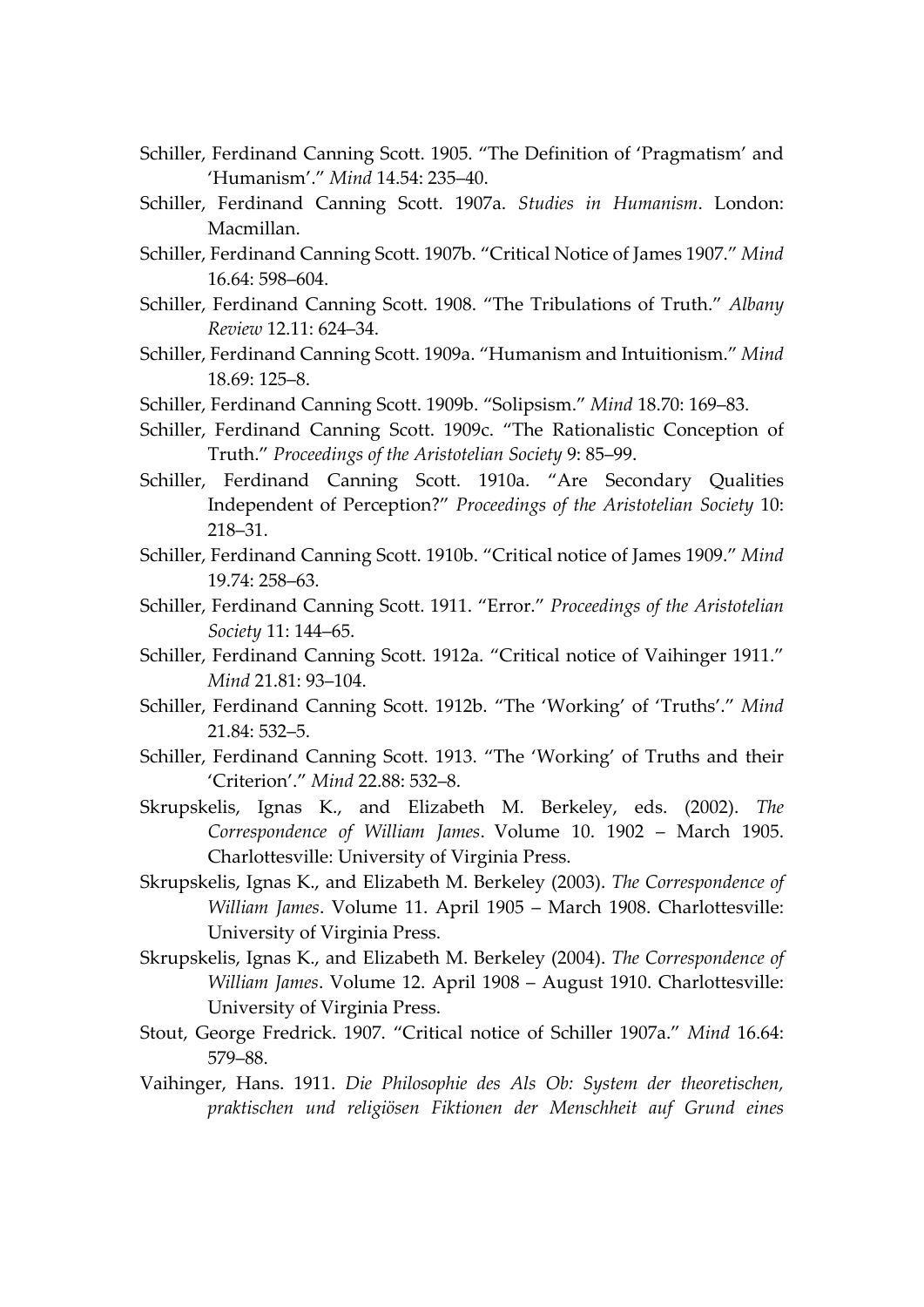- Schiller, Ferdinand Canning Scott. 1905. "The Definition of 'Pragmatism' and 'Humanism'." *Mind* 14.54: 235–40.
- Schiller, Ferdinand Canning Scott. 1907a. *Studies in Humanism*. London: Macmillan.
- Schiller, Ferdinand Canning Scott. 1907b. "Critical Notice of James 1907." *Mind* 16.64: 598–604.
- Schiller, Ferdinand Canning Scott. 1908. "The Tribulations of Truth." *Albany Review* 12.11: 624–34.
- Schiller, Ferdinand Canning Scott. 1909a. "Humanism and Intuitionism." *Mind* 18.69: 125–8.
- Schiller, Ferdinand Canning Scott. 1909b. "Solipsism." *Mind* 18.70: 169–83.
- Schiller, Ferdinand Canning Scott. 1909c. "The Rationalistic Conception of Truth." *Proceedings of the Aristotelian Society* 9: 85–99.
- Schiller, Ferdinand Canning Scott. 1910a. "Are Secondary Qualities Independent of Perception?" *Proceedings of the Aristotelian Society* 10: 218–31.
- Schiller, Ferdinand Canning Scott. 1910b. "Critical notice of James 1909." *Mind* 19.74: 258–63.
- Schiller, Ferdinand Canning Scott. 1911. "Error." *Proceedings of the Aristotelian Society* 11: 144–65.
- Schiller, Ferdinand Canning Scott. 1912a. "Critical notice of Vaihinger 1911." *Mind* 21.81: 93–104.
- Schiller, Ferdinand Canning Scott. 1912b. "The 'Working' of 'Truths'." *Mind* 21.84: 532–5.
- Schiller, Ferdinand Canning Scott. 1913. "The 'Working' of Truths and their 'Criterion'." *Mind* 22.88: 532–8.
- Skrupskelis, Ignas K., and Elizabeth M. Berkeley, eds. (2002). *The Correspondence of William James*. Volume 10. 1902 – March 1905. Charlottesville: University of Virginia Press.
- Skrupskelis, Ignas K., and Elizabeth M. Berkeley (2003). *The Correspondence of William James*. Volume 11. April 1905 – March 1908. Charlottesville: University of Virginia Press.
- Skrupskelis, Ignas K., and Elizabeth M. Berkeley (2004). *The Correspondence of William James*. Volume 12. April 1908 – August 1910. Charlottesville: University of Virginia Press.
- Stout, George Fredrick. 1907. "Critical notice of Schiller 1907a." *Mind* 16.64: 579–88.
- Vaihinger, Hans. 1911. *Die Philosophie des Als Ob: System der theoretischen, praktischen und religiösen Fiktionen der Menschheit auf Grund eines*